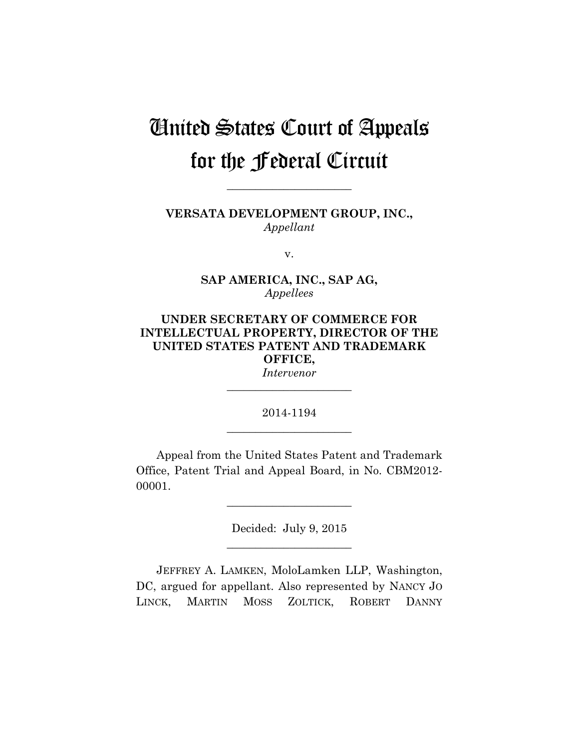# United States Court of Appeals for the Federal Circuit

**VERSATA DEVELOPMENT GROUP, INC.,** *Appellant*

**\_\_\_\_\_\_\_\_\_\_\_\_\_\_\_\_\_\_\_\_\_\_** 

v.

**SAP AMERICA, INC., SAP AG,** *Appellees*

## **UNDER SECRETARY OF COMMERCE FOR INTELLECTUAL PROPERTY, DIRECTOR OF THE UNITED STATES PATENT AND TRADEMARK OFFICE,** *Intervenor*

2014-1194 **\_\_\_\_\_\_\_\_\_\_\_\_\_\_\_\_\_\_\_\_\_\_** 

**\_\_\_\_\_\_\_\_\_\_\_\_\_\_\_\_\_\_\_\_\_\_** 

Appeal from the United States Patent and Trademark Office, Patent Trial and Appeal Board, in No. CBM2012- 00001.

> Decided: July 9, 2015 **\_\_\_\_\_\_\_\_\_\_\_\_\_\_\_\_\_\_\_\_\_\_**

> **\_\_\_\_\_\_\_\_\_\_\_\_\_\_\_\_\_\_\_\_\_\_**

JEFFREY A. LAMKEN, MoloLamken LLP, Washington, DC, argued for appellant. Also represented by NANCY JO LINCK, MARTIN MOSS ZOLTICK, ROBERT DANNY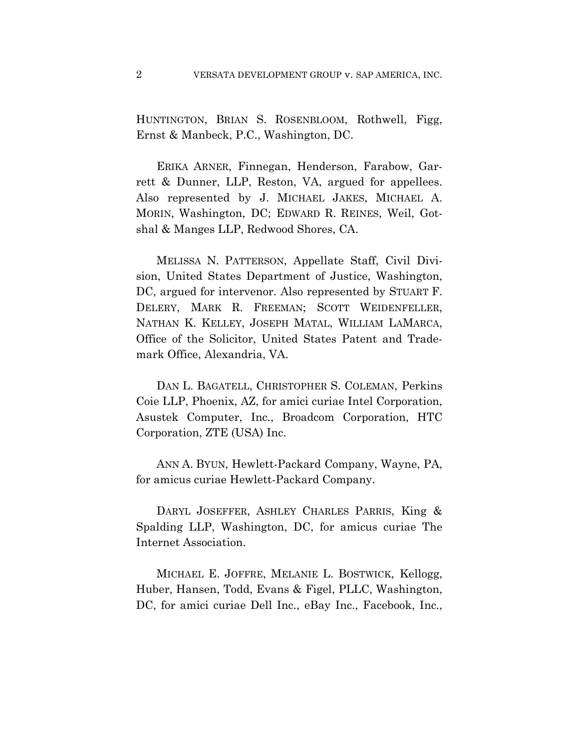HUNTINGTON, BRIAN S. ROSENBLOOM, Rothwell, Figg, Ernst & Manbeck, P.C., Washington, DC.

ERIKA ARNER, Finnegan, Henderson, Farabow, Garrett & Dunner, LLP, Reston, VA, argued for appellees. Also represented by J. MICHAEL JAKES, MICHAEL A. MORIN, Washington, DC; EDWARD R. REINES, Weil, Gotshal & Manges LLP, Redwood Shores, CA.

MELISSA N. PATTERSON, Appellate Staff, Civil Division, United States Department of Justice, Washington, DC, argued for intervenor. Also represented by STUART F. DELERY, MARK R. FREEMAN; SCOTT WEIDENFELLER, NATHAN K. KELLEY, JOSEPH MATAL, WILLIAM LAMARCA, Office of the Solicitor, United States Patent and Trademark Office, Alexandria, VA.

DAN L. BAGATELL, CHRISTOPHER S. COLEMAN, Perkins Coie LLP, Phoenix, AZ, for amici curiae Intel Corporation, Asustek Computer, Inc., Broadcom Corporation, HTC Corporation, ZTE (USA) Inc.

ANN A. BYUN, Hewlett-Packard Company, Wayne, PA, for amicus curiae Hewlett-Packard Company.

DARYL JOSEFFER, ASHLEY CHARLES PARRIS, King & Spalding LLP, Washington, DC, for amicus curiae The Internet Association.

MICHAEL E. JOFFRE, MELANIE L. BOSTWICK, Kellogg, Huber, Hansen, Todd, Evans & Figel, PLLC, Washington, DC, for amici curiae Dell Inc., eBay Inc., Facebook, Inc.,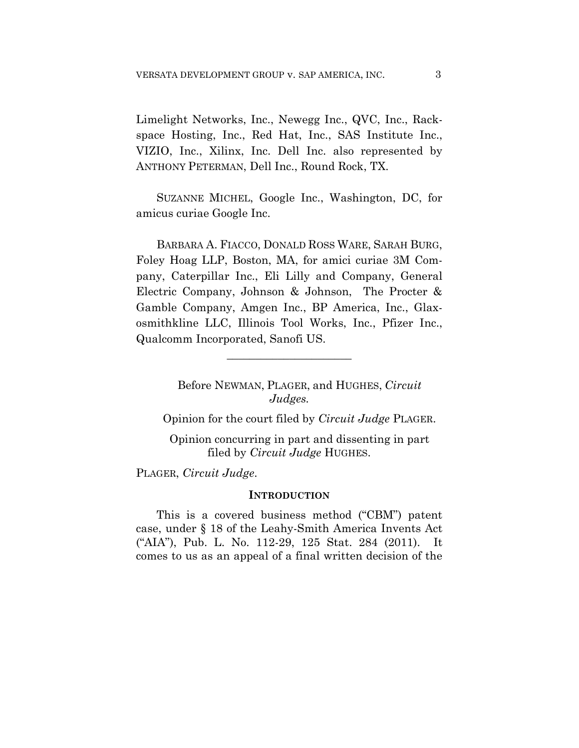Limelight Networks, Inc., Newegg Inc., QVC, Inc., Rackspace Hosting, Inc., Red Hat, Inc., SAS Institute Inc., VIZIO, Inc., Xilinx, Inc. Dell Inc. also represented by ANTHONY PETERMAN, Dell Inc., Round Rock, TX.

SUZANNE MICHEL, Google Inc., Washington, DC, for amicus curiae Google Inc.

BARBARA A. FIACCO, DONALD ROSS WARE, SARAH BURG, Foley Hoag LLP, Boston, MA, for amici curiae 3M Company, Caterpillar Inc., Eli Lilly and Company, General Electric Company, Johnson & Johnson, The Procter & Gamble Company, Amgen Inc., BP America, Inc., Glaxosmithkline LLC, Illinois Tool Works, Inc., Pfizer Inc., Qualcomm Incorporated, Sanofi US.

**\_\_\_\_\_\_\_\_\_\_\_\_\_\_\_\_\_\_\_\_\_\_** 

Before NEWMAN, PLAGER, and HUGHES, *Circuit Judges.*

Opinion for the court filed by *Circuit Judge* PLAGER.

Opinion concurring in part and dissenting in part filed by *Circuit Judge* HUGHES.

PLAGER, *Circuit Judge*.

#### **INTRODUCTION**

This is a covered business method ("CBM") patent case, under § 18 of the Leahy-Smith America Invents Act ("AIA"), Pub. L. No. 112-29, 125 Stat. 284 (2011). It comes to us as an appeal of a final written decision of the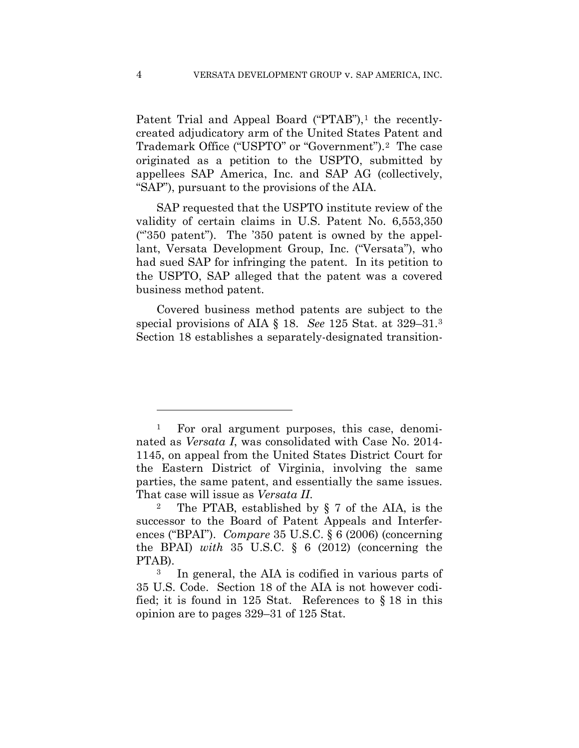Patent Trial and Appeal Board ("PTAB"),<sup>1</sup> the recentlycreated adjudicatory arm of the United States Patent and Trademark Office ("USPTO" or "Government").2 The case originated as a petition to the USPTO, submitted by appellees SAP America, Inc. and SAP AG (collectively, "SAP"), pursuant to the provisions of the AIA.

SAP requested that the USPTO institute review of the validity of certain claims in U.S. Patent No. 6,553,350 ("350 patent"). The '350 patent is owned by the appellant, Versata Development Group, Inc. ("Versata"), who had sued SAP for infringing the patent. In its petition to the USPTO, SAP alleged that the patent was a covered business method patent.

Covered business method patents are subject to the special provisions of AIA § 18. *See* 125 Stat. at 329–31.3 Section 18 establishes a separately-designated transition-

1

<sup>1</sup> For oral argument purposes, this case, denominated as *Versata I*, was consolidated with Case No. 2014- 1145, on appeal from the United States District Court for the Eastern District of Virginia, involving the same parties, the same patent, and essentially the same issues.

That case will issue as *Versata II*.<br><sup>2</sup> The PTAB, established by § 7 of the AIA, is the successor to the Board of Patent Appeals and Interferences ("BPAI"). *Compare* 35 U.S.C. § 6 (2006) (concerning the BPAI) *with* 35 U.S.C. § 6 (2012) (concerning the PTAB).

<sup>3</sup> In general, the AIA is codified in various parts of 35 U.S. Code. Section 18 of the AIA is not however codified; it is found in 125 Stat. References to § 18 in this opinion are to pages 329–31 of 125 Stat.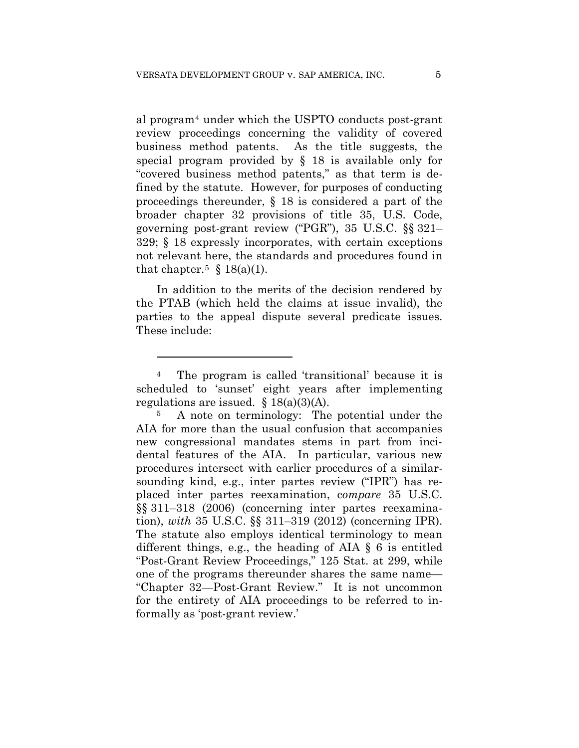al program4 under which the USPTO conducts post-grant review proceedings concerning the validity of covered business method patents. As the title suggests, the special program provided by § 18 is available only for "covered business method patents," as that term is defined by the statute. However, for purposes of conducting proceedings thereunder, § 18 is considered a part of the broader chapter 32 provisions of title 35, U.S. Code, governing post-grant review ("PGR"), 35 U.S.C. §§ 321– 329; § 18 expressly incorporates, with certain exceptions not relevant here, the standards and procedures found in that chapter.<sup>5</sup> § 18(a)(1).

In addition to the merits of the decision rendered by the PTAB (which held the claims at issue invalid), the parties to the appeal dispute several predicate issues. These include:

<u>.</u>

<sup>4</sup> The program is called 'transitional' because it is scheduled to 'sunset' eight years after implementing regulations are issued.  $§ 18(a)(3)(A)$ .

<sup>5</sup> A note on terminology: The potential under the AIA for more than the usual confusion that accompanies new congressional mandates stems in part from incidental features of the AIA. In particular, various new procedures intersect with earlier procedures of a similarsounding kind, e.g., inter partes review ("IPR") has replaced inter partes reexamination, c*ompare* 35 U.S.C. §§ 311–318 (2006) (concerning inter partes reexamination), *with* 35 U.S.C. §§ 311–319 (2012) (concerning IPR). The statute also employs identical terminology to mean different things, e.g., the heading of AIA § 6 is entitled "Post-Grant Review Proceedings," 125 Stat. at 299, while one of the programs thereunder shares the same name— "Chapter 32—Post-Grant Review." It is not uncommon for the entirety of AIA proceedings to be referred to informally as 'post-grant review.'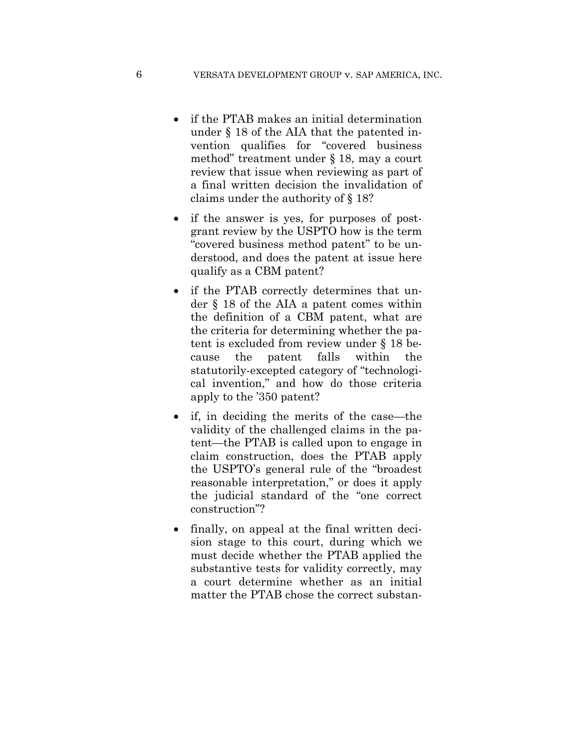- if the PTAB makes an initial determination under § 18 of the AIA that the patented invention qualifies for "covered business method" treatment under § 18, may a court review that issue when reviewing as part of a final written decision the invalidation of claims under the authority of § 18?
- if the answer is yes, for purposes of postgrant review by the USPTO how is the term "covered business method patent" to be understood, and does the patent at issue here qualify as a CBM patent?
- if the PTAB correctly determines that under § 18 of the AIA a patent comes within the definition of a CBM patent, what are the criteria for determining whether the patent is excluded from review under § 18 because the patent falls within the statutorily-excepted category of "technological invention," and how do those criteria apply to the '350 patent?
- if, in deciding the merits of the case—the validity of the challenged claims in the patent—the PTAB is called upon to engage in claim construction, does the PTAB apply the USPTO's general rule of the "broadest reasonable interpretation," or does it apply the judicial standard of the "one correct construction"?
- finally, on appeal at the final written decision stage to this court, during which we must decide whether the PTAB applied the substantive tests for validity correctly, may a court determine whether as an initial matter the PTAB chose the correct substan-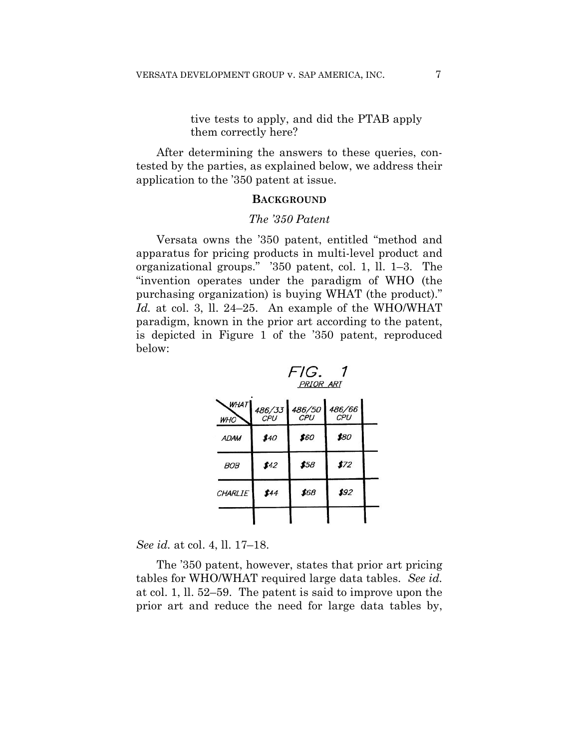## tive tests to apply, and did the PTAB apply them correctly here?

After determining the answers to these queries, contested by the parties, as explained below, we address their application to the '350 patent at issue.

#### **BACKGROUND**

#### *The '350 Patent*

Versata owns the '350 patent, entitled "method and apparatus for pricing products in multi-level product and organizational groups." '350 patent, col. 1, ll. 1–3. The "invention operates under the paradigm of WHO (the purchasing organization) is buying WHAT (the product)." *Id.* at col. 3, ll. 24–25. An example of the WHO/WHAT paradigm, known in the prior art according to the patent, is depicted in Figure 1 of the '350 patent, reproduced below:



| WHAT<br><b>WHO</b> | 486/33<br>CPU | 486/50<br>CPU | 486/66<br>CPU |  |
|--------------------|---------------|---------------|---------------|--|
| <b>ADAM</b>        | \$40          | \$60          | \$80          |  |
| <i>BOB</i>         | \$42          | \$58          | \$72          |  |
| CHARLIE            | \$44          | \$68          | \$92          |  |
|                    |               |               |               |  |

*See id.* at col. 4, ll. 17–18.

The '350 patent, however, states that prior art pricing tables for WHO/WHAT required large data tables. *See id.* at col. 1, ll. 52–59. The patent is said to improve upon the prior art and reduce the need for large data tables by,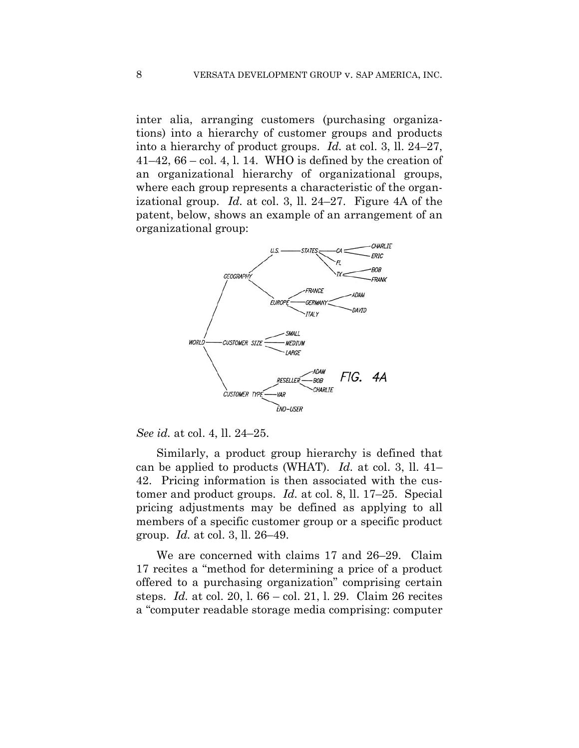inter alia, arranging customers (purchasing organizations) into a hierarchy of customer groups and products into a hierarchy of product groups. *Id.* at col. 3, ll. 24–27,  $41-42$ ,  $66$  – col. 4, 1. 14. WHO is defined by the creation of an organizational hierarchy of organizational groups, where each group represents a characteristic of the organizational group. *Id.* at col. 3, ll. 24–27. Figure 4A of the patent, below, shows an example of an arrangement of an organizational group:



*See id.* at col. 4, ll. 24–25.

Similarly, a product group hierarchy is defined that can be applied to products (WHAT). *Id.* at col. 3, ll. 41– 42. Pricing information is then associated with the customer and product groups. *Id.* at col. 8, ll. 17–25. Special pricing adjustments may be defined as applying to all members of a specific customer group or a specific product group. *Id.* at col. 3, ll. 26–49.

We are concerned with claims 17 and 26–29. Claim 17 recites a "method for determining a price of a product offered to a purchasing organization" comprising certain steps. *Id.* at col. 20, l. 66 – col. 21, l. 29. Claim 26 recites a "computer readable storage media comprising: computer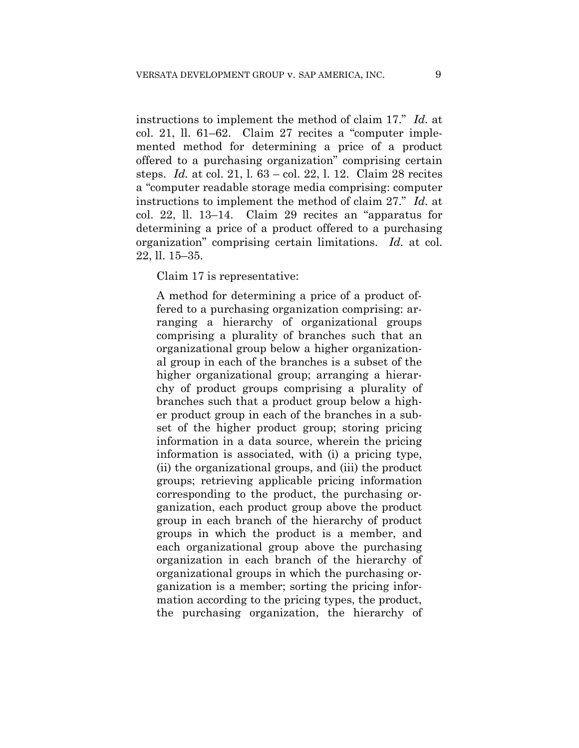instructions to implement the method of claim 17." *Id.* at col. 21, ll. 61–62. Claim 27 recites a "computer implemented method for determining a price of a product offered to a purchasing organization" comprising certain steps. *Id.* at col. 21, l. 63 – col. 22, l. 12. Claim 28 recites a "computer readable storage media comprising: computer instructions to implement the method of claim 27." *Id.* at col. 22, ll. 13–14. Claim 29 recites an "apparatus for determining a price of a product offered to a purchasing organization" comprising certain limitations. *Id.* at col. 22, ll. 15–35.

#### Claim 17 is representative:

A method for determining a price of a product offered to a purchasing organization comprising: arranging a hierarchy of organizational groups comprising a plurality of branches such that an organizational group below a higher organizational group in each of the branches is a subset of the higher organizational group; arranging a hierarchy of product groups comprising a plurality of branches such that a product group below a higher product group in each of the branches in a subset of the higher product group; storing pricing information in a data source, wherein the pricing information is associated, with (i) a pricing type, (ii) the organizational groups, and (iii) the product groups; retrieving applicable pricing information corresponding to the product, the purchasing organization, each product group above the product group in each branch of the hierarchy of product groups in which the product is a member, and each organizational group above the purchasing organization in each branch of the hierarchy of organizational groups in which the purchasing organization is a member; sorting the pricing information according to the pricing types, the product, the purchasing organization, the hierarchy of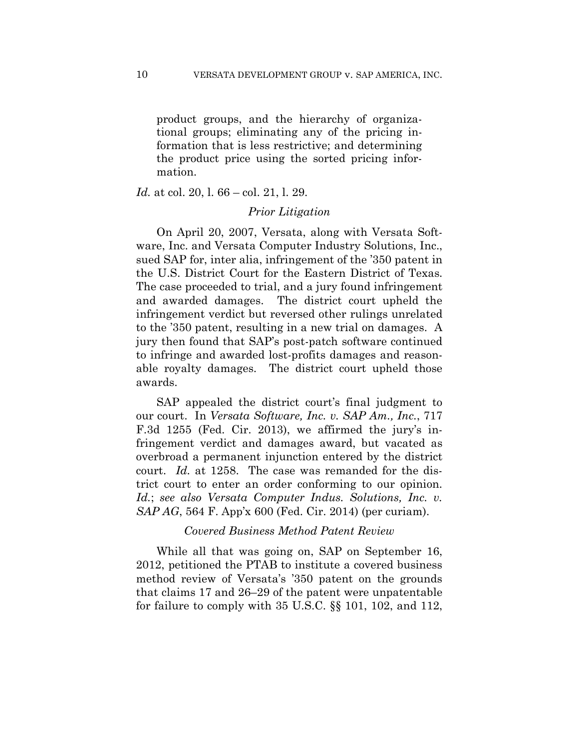product groups, and the hierarchy of organizational groups; eliminating any of the pricing information that is less restrictive; and determining the product price using the sorted pricing information.

*Id.* at col. 20, l. 66 – col. 21, l. 29.

#### *Prior Litigation*

On April 20, 2007, Versata, along with Versata Software, Inc. and Versata Computer Industry Solutions, Inc., sued SAP for, inter alia, infringement of the '350 patent in the U.S. District Court for the Eastern District of Texas. The case proceeded to trial, and a jury found infringement and awarded damages. The district court upheld the infringement verdict but reversed other rulings unrelated to the '350 patent, resulting in a new trial on damages. A jury then found that SAP's post-patch software continued to infringe and awarded lost-profits damages and reasonable royalty damages. The district court upheld those awards.

SAP appealed the district court's final judgment to our court. In *Versata Software, Inc. v. SAP Am., Inc.*, 717 F.3d 1255 (Fed. Cir. 2013), we affirmed the jury's infringement verdict and damages award, but vacated as overbroad a permanent injunction entered by the district court. *Id.* at 1258. The case was remanded for the district court to enter an order conforming to our opinion. *Id.*; *see also Versata Computer Indus. Solutions, Inc. v. SAP AG*, 564 F. App'x 600 (Fed. Cir. 2014) (per curiam).

#### *Covered Business Method Patent Review*

While all that was going on, SAP on September 16, 2012, petitioned the PTAB to institute a covered business method review of Versata's '350 patent on the grounds that claims 17 and 26–29 of the patent were unpatentable for failure to comply with 35 U.S.C. §§ 101, 102, and 112,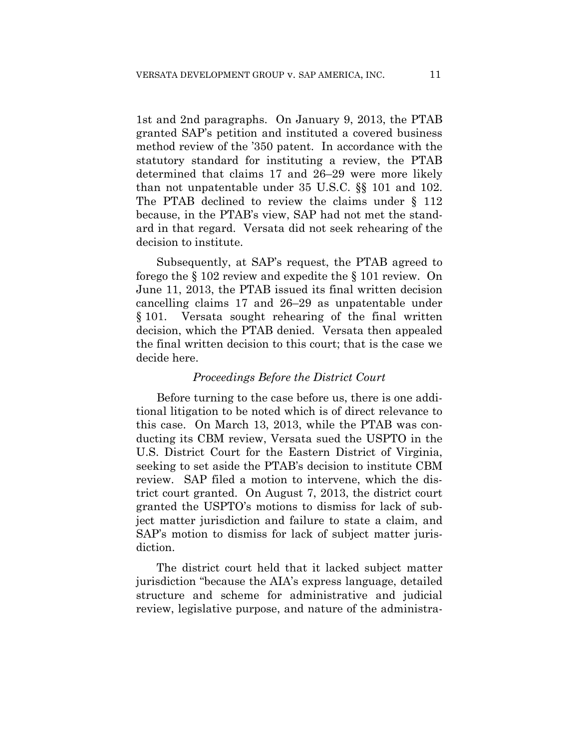1st and 2nd paragraphs. On January 9, 2013, the PTAB granted SAP's petition and instituted a covered business method review of the '350 patent. In accordance with the statutory standard for instituting a review, the PTAB determined that claims 17 and 26–29 were more likely than not unpatentable under 35 U.S.C. §§ 101 and 102. The PTAB declined to review the claims under § 112 because, in the PTAB's view, SAP had not met the standard in that regard. Versata did not seek rehearing of the decision to institute.

Subsequently, at SAP's request, the PTAB agreed to forego the § 102 review and expedite the § 101 review. On June 11, 2013, the PTAB issued its final written decision cancelling claims 17 and 26–29 as unpatentable under § 101. Versata sought rehearing of the final written decision, which the PTAB denied. Versata then appealed the final written decision to this court; that is the case we decide here.

#### *Proceedings Before the District Court*

Before turning to the case before us, there is one additional litigation to be noted which is of direct relevance to this case. On March 13, 2013, while the PTAB was conducting its CBM review, Versata sued the USPTO in the U.S. District Court for the Eastern District of Virginia, seeking to set aside the PTAB's decision to institute CBM review. SAP filed a motion to intervene, which the district court granted. On August 7, 2013, the district court granted the USPTO's motions to dismiss for lack of subject matter jurisdiction and failure to state a claim, and SAP's motion to dismiss for lack of subject matter jurisdiction.

The district court held that it lacked subject matter jurisdiction "because the AIA's express language, detailed structure and scheme for administrative and judicial review, legislative purpose, and nature of the administra-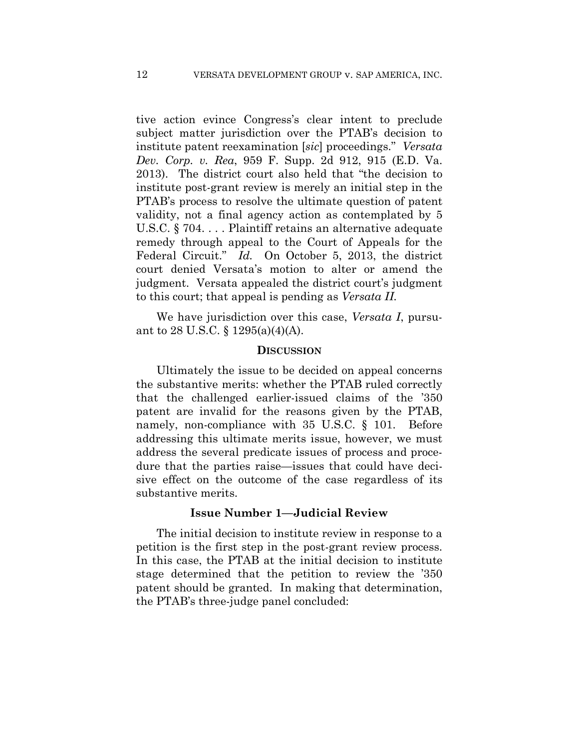tive action evince Congress's clear intent to preclude subject matter jurisdiction over the PTAB's decision to institute patent reexamination [*sic*] proceedings." *Versata Dev. Corp. v. Rea*, 959 F. Supp. 2d 912, 915 (E.D. Va. 2013). The district court also held that "the decision to institute post-grant review is merely an initial step in the PTAB's process to resolve the ultimate question of patent validity, not a final agency action as contemplated by 5 U.S.C. § 704. . . . Plaintiff retains an alternative adequate remedy through appeal to the Court of Appeals for the Federal Circuit." *Id.* On October 5, 2013, the district court denied Versata's motion to alter or amend the judgment. Versata appealed the district court's judgment to this court; that appeal is pending as *Versata II.*

We have jurisdiction over this case, *Versata I*, pursuant to 28 U.S.C. § 1295(a)(4)(A).

#### **DISCUSSION**

Ultimately the issue to be decided on appeal concerns the substantive merits: whether the PTAB ruled correctly that the challenged earlier-issued claims of the '350 patent are invalid for the reasons given by the PTAB, namely, non-compliance with 35 U.S.C. § 101. Before addressing this ultimate merits issue, however, we must address the several predicate issues of process and procedure that the parties raise—issues that could have decisive effect on the outcome of the case regardless of its substantive merits.

#### **Issue Number 1—Judicial Review**

The initial decision to institute review in response to a petition is the first step in the post-grant review process. In this case, the PTAB at the initial decision to institute stage determined that the petition to review the '350 patent should be granted. In making that determination, the PTAB's three-judge panel concluded: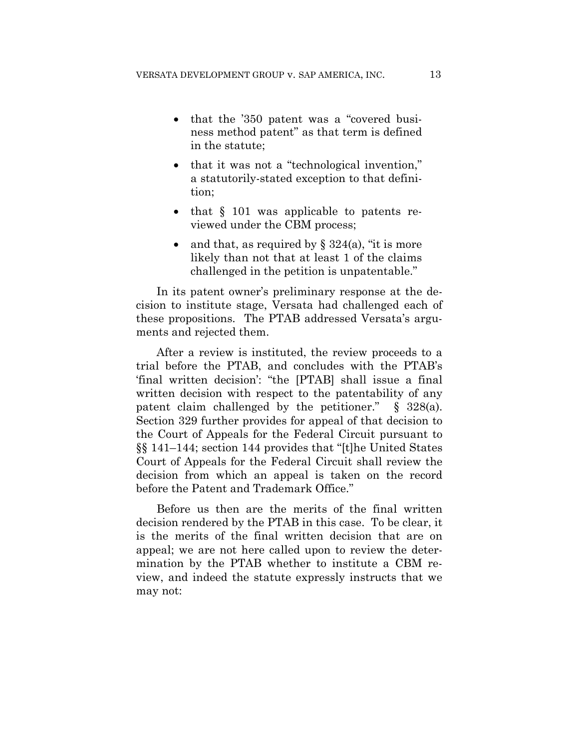- that the '350 patent was a "covered business method patent" as that term is defined in the statute;
- that it was not a "technological invention," a statutorily-stated exception to that definition;
- that  $\S$  101 was applicable to patents reviewed under the CBM process;
- and that, as required by  $\S 324(a)$ , "it is more likely than not that at least 1 of the claims challenged in the petition is unpatentable."

In its patent owner's preliminary response at the decision to institute stage, Versata had challenged each of these propositions. The PTAB addressed Versata's arguments and rejected them.

After a review is instituted, the review proceeds to a trial before the PTAB, and concludes with the PTAB's 'final written decision': "the [PTAB] shall issue a final written decision with respect to the patentability of any patent claim challenged by the petitioner." § 328(a). Section 329 further provides for appeal of that decision to the Court of Appeals for the Federal Circuit pursuant to §§ 141–144; section 144 provides that "[t]he United States Court of Appeals for the Federal Circuit shall review the decision from which an appeal is taken on the record before the Patent and Trademark Office."

Before us then are the merits of the final written decision rendered by the PTAB in this case. To be clear, it is the merits of the final written decision that are on appeal; we are not here called upon to review the determination by the PTAB whether to institute a CBM review, and indeed the statute expressly instructs that we may not: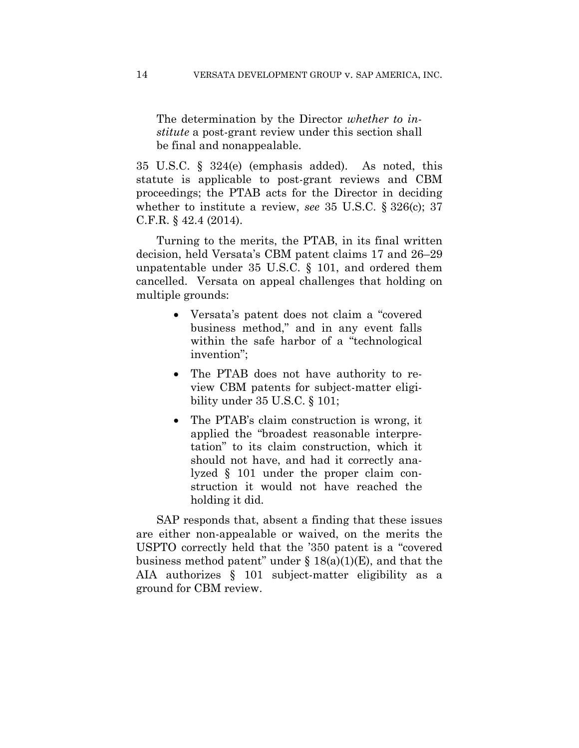The determination by the Director *whether to institute* a post-grant review under this section shall be final and nonappealable.

35 U.S.C. § 324(e) (emphasis added). As noted, this statute is applicable to post-grant reviews and CBM proceedings; the PTAB acts for the Director in deciding whether to institute a review, *see* 35 U.S.C. § 326(c); 37 C.F.R. § 42.4 (2014).

Turning to the merits, the PTAB, in its final written decision, held Versata's CBM patent claims 17 and 26–29 unpatentable under 35 U.S.C. § 101, and ordered them cancelled. Versata on appeal challenges that holding on multiple grounds:

- Versata's patent does not claim a "covered business method," and in any event falls within the safe harbor of a "technological invention";
- The PTAB does not have authority to review CBM patents for subject-matter eligibility under 35 U.S.C. § 101;
- The PTAB's claim construction is wrong, it applied the "broadest reasonable interpretation" to its claim construction, which it should not have, and had it correctly analyzed § 101 under the proper claim construction it would not have reached the holding it did.

SAP responds that, absent a finding that these issues are either non-appealable or waived, on the merits the USPTO correctly held that the '350 patent is a "covered business method patent" under  $\S 18(a)(1)(E)$ , and that the AIA authorizes § 101 subject-matter eligibility as a ground for CBM review.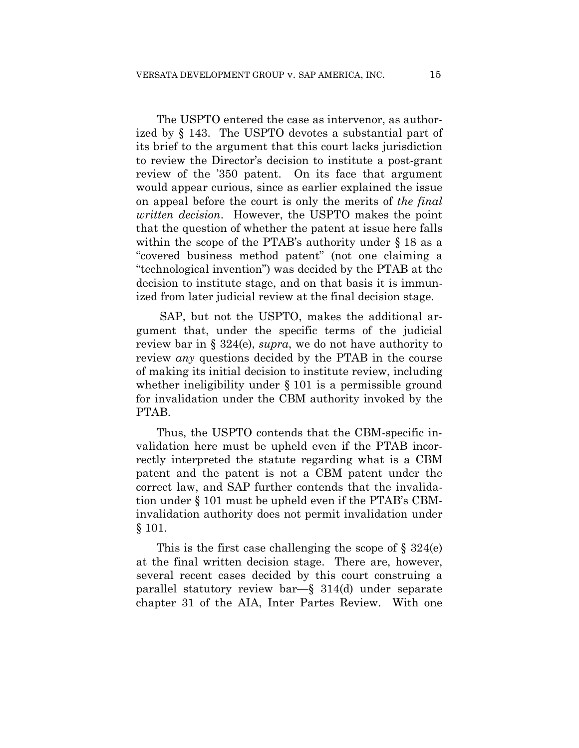The USPTO entered the case as intervenor, as authorized by § 143. The USPTO devotes a substantial part of its brief to the argument that this court lacks jurisdiction to review the Director's decision to institute a post-grant review of the '350 patent. On its face that argument would appear curious, since as earlier explained the issue on appeal before the court is only the merits of *the final written decision*. However, the USPTO makes the point that the question of whether the patent at issue here falls within the scope of the PTAB's authority under § 18 as a "covered business method patent" (not one claiming a "technological invention") was decided by the PTAB at the decision to institute stage, and on that basis it is immunized from later judicial review at the final decision stage.

SAP, but not the USPTO, makes the additional argument that, under the specific terms of the judicial review bar in § 324(e), *supra*, we do not have authority to review *any* questions decided by the PTAB in the course of making its initial decision to institute review, including whether ineligibility under § 101 is a permissible ground for invalidation under the CBM authority invoked by the PTAB.

Thus, the USPTO contends that the CBM-specific invalidation here must be upheld even if the PTAB incorrectly interpreted the statute regarding what is a CBM patent and the patent is not a CBM patent under the correct law, and SAP further contends that the invalidation under § 101 must be upheld even if the PTAB's CBMinvalidation authority does not permit invalidation under § 101.

This is the first case challenging the scope of  $\S 324(e)$ at the final written decision stage. There are, however, several recent cases decided by this court construing a parallel statutory review bar—§ 314(d) under separate chapter 31 of the AIA, Inter Partes Review. With one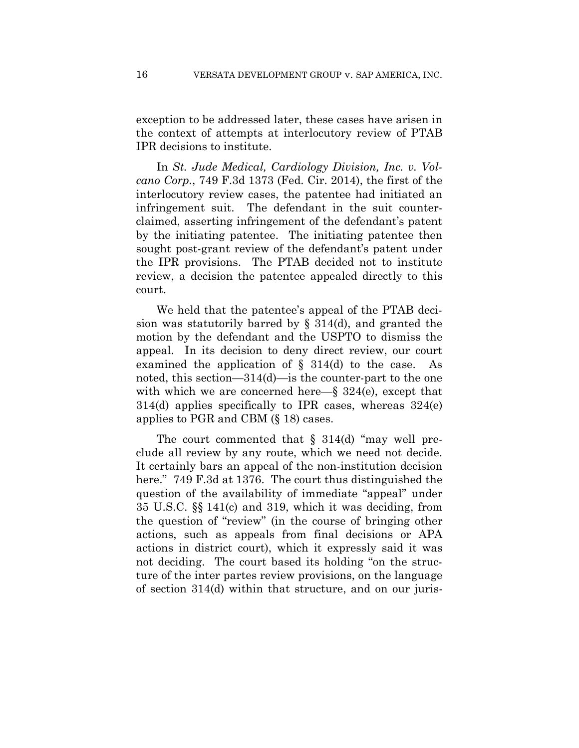exception to be addressed later, these cases have arisen in the context of attempts at interlocutory review of PTAB IPR decisions to institute.

In *St. Jude Medical, Cardiology Division, Inc. v. Volcano Corp.*, 749 F.3d 1373 (Fed. Cir. 2014), the first of the interlocutory review cases, the patentee had initiated an infringement suit. The defendant in the suit counterclaimed, asserting infringement of the defendant's patent by the initiating patentee. The initiating patentee then sought post-grant review of the defendant's patent under the IPR provisions. The PTAB decided not to institute review, a decision the patentee appealed directly to this court.

We held that the patentee's appeal of the PTAB decision was statutorily barred by  $\S$  314(d), and granted the motion by the defendant and the USPTO to dismiss the appeal. In its decision to deny direct review, our court examined the application of  $\S$  314(d) to the case. As noted, this section—314(d)—is the counter-part to the one with which we are concerned here—§ 324(e), except that 314(d) applies specifically to IPR cases, whereas 324(e) applies to PGR and CBM (§ 18) cases.

The court commented that  $\S$  314(d) "may well preclude all review by any route, which we need not decide. It certainly bars an appeal of the non-institution decision here." 749 F.3d at 1376. The court thus distinguished the question of the availability of immediate "appeal" under 35 U.S.C. §§ 141(c) and 319, which it was deciding, from the question of "review" (in the course of bringing other actions, such as appeals from final decisions or APA actions in district court), which it expressly said it was not deciding. The court based its holding "on the structure of the inter partes review provisions, on the language of section 314(d) within that structure, and on our juris-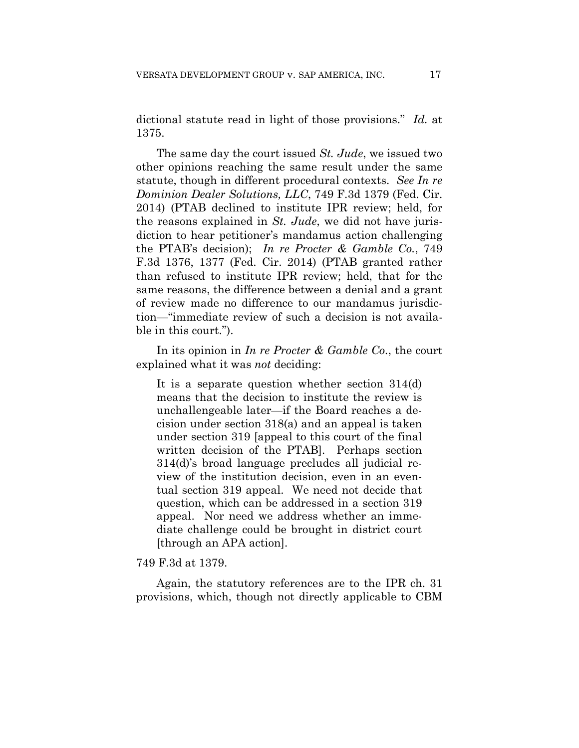dictional statute read in light of those provisions." *Id.* at 1375.

The same day the court issued *St. Jude*, we issued two other opinions reaching the same result under the same statute, though in different procedural contexts. *See In re Dominion Dealer Solutions, LLC*, 749 F.3d 1379 (Fed. Cir. 2014) (PTAB declined to institute IPR review; held, for the reasons explained in *St. Jude*, we did not have jurisdiction to hear petitioner's mandamus action challenging the PTAB's decision); *In re Procter & Gamble Co.*, 749 F.3d 1376, 1377 (Fed. Cir. 2014) (PTAB granted rather than refused to institute IPR review; held, that for the same reasons, the difference between a denial and a grant of review made no difference to our mandamus jurisdiction—"immediate review of such a decision is not available in this court.").

In its opinion in *In re Procter & Gamble Co.*, the court explained what it was *not* deciding:

It is a separate question whether section 314(d) means that the decision to institute the review is unchallengeable later—if the Board reaches a decision under section 318(a) and an appeal is taken under section 319 [appeal to this court of the final written decision of the PTAB]. Perhaps section 314(d)'s broad language precludes all judicial review of the institution decision, even in an eventual section 319 appeal. We need not decide that question, which can be addressed in a section 319 appeal. Nor need we address whether an immediate challenge could be brought in district court [through an APA action].

#### 749 F.3d at 1379.

Again, the statutory references are to the IPR ch. 31 provisions, which, though not directly applicable to CBM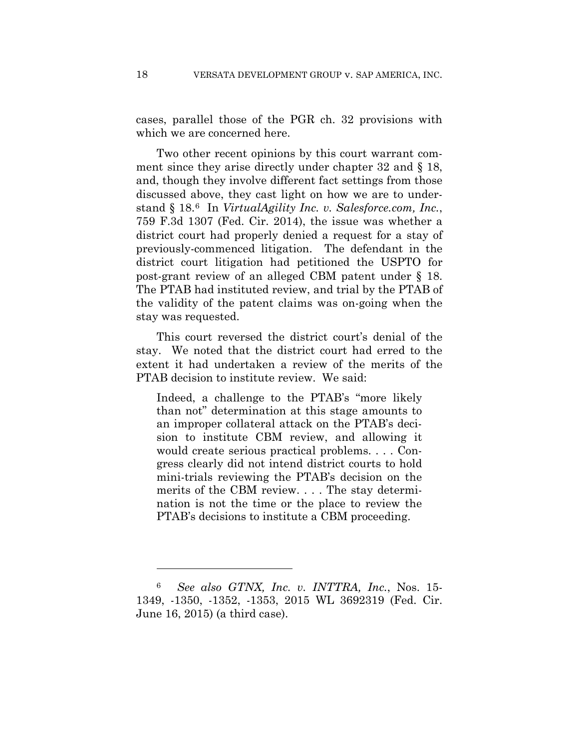cases, parallel those of the PGR ch. 32 provisions with which we are concerned here.

Two other recent opinions by this court warrant comment since they arise directly under chapter 32 and § 18, and, though they involve different fact settings from those discussed above, they cast light on how we are to understand § 18.6 In *VirtualAgility Inc. v. Salesforce.com, Inc.*, 759 F.3d 1307 (Fed. Cir. 2014), the issue was whether a district court had properly denied a request for a stay of previously-commenced litigation. The defendant in the district court litigation had petitioned the USPTO for post-grant review of an alleged CBM patent under § 18. The PTAB had instituted review, and trial by the PTAB of the validity of the patent claims was on-going when the stay was requested.

This court reversed the district court's denial of the stay. We noted that the district court had erred to the extent it had undertaken a review of the merits of the PTAB decision to institute review. We said:

Indeed, a challenge to the PTAB's "more likely than not" determination at this stage amounts to an improper collateral attack on the PTAB's decision to institute CBM review, and allowing it would create serious practical problems. . . . Congress clearly did not intend district courts to hold mini-trials reviewing the PTAB's decision on the merits of the CBM review. . . . The stay determination is not the time or the place to review the PTAB's decisions to institute a CBM proceeding.

1

<sup>6</sup> *See also GTNX, Inc. v. INTTRA, Inc.*, Nos. 15- 1349, -1350, -1352, -1353, 2015 WL 3692319 (Fed. Cir. June 16, 2015) (a third case).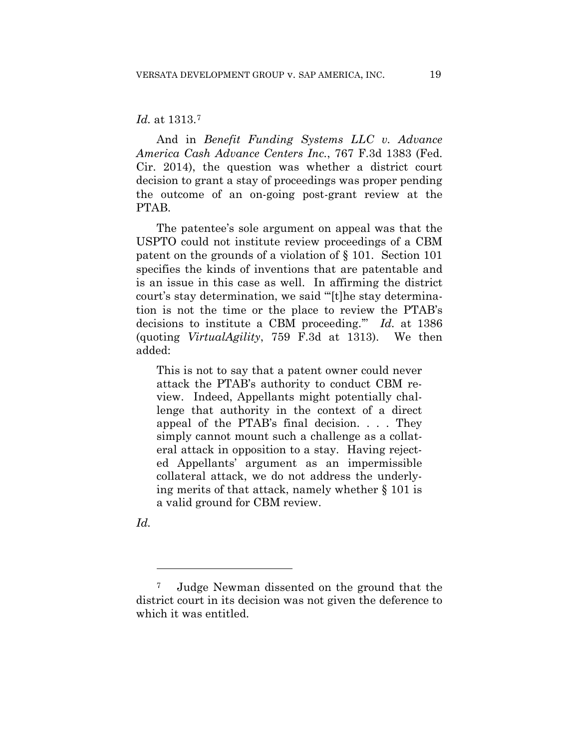#### *Id.* at 1313.7

And in *Benefit Funding Systems LLC v. Advance America Cash Advance Centers Inc.*, 767 F.3d 1383 (Fed. Cir. 2014), the question was whether a district court decision to grant a stay of proceedings was proper pending the outcome of an on-going post-grant review at the PTAB.

The patentee's sole argument on appeal was that the USPTO could not institute review proceedings of a CBM patent on the grounds of a violation of § 101. Section 101 specifies the kinds of inventions that are patentable and is an issue in this case as well. In affirming the district court's stay determination, we said "'[t]he stay determination is not the time or the place to review the PTAB's decisions to institute a CBM proceeding.'" *Id.* at 1386 (quoting *VirtualAgility*, 759 F.3d at 1313). We then added:

This is not to say that a patent owner could never attack the PTAB's authority to conduct CBM review. Indeed, Appellants might potentially challenge that authority in the context of a direct appeal of the PTAB's final decision. . . . They simply cannot mount such a challenge as a collateral attack in opposition to a stay. Having rejected Appellants' argument as an impermissible collateral attack, we do not address the underlying merits of that attack, namely whether § 101 is a valid ground for CBM review.

*Id.*

1

<sup>7</sup> Judge Newman dissented on the ground that the district court in its decision was not given the deference to which it was entitled.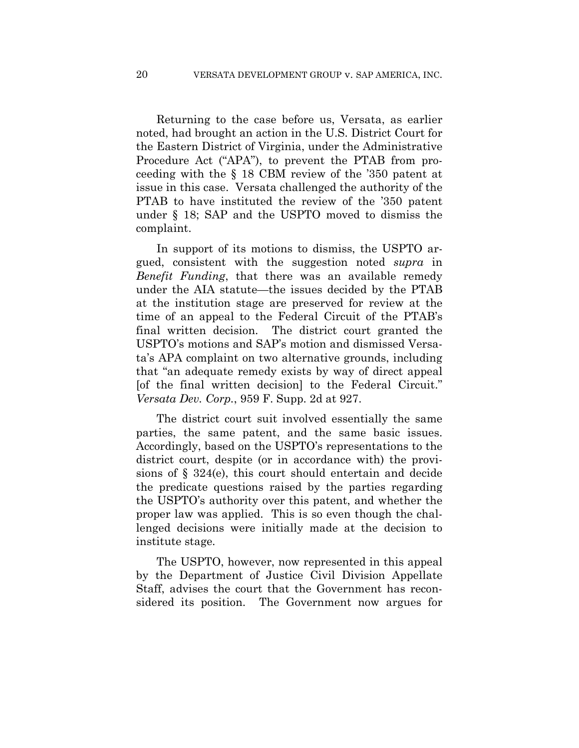Returning to the case before us, Versata, as earlier noted, had brought an action in the U.S. District Court for the Eastern District of Virginia, under the Administrative Procedure Act ("APA"), to prevent the PTAB from proceeding with the § 18 CBM review of the '350 patent at issue in this case. Versata challenged the authority of the PTAB to have instituted the review of the '350 patent under § 18; SAP and the USPTO moved to dismiss the complaint.

In support of its motions to dismiss, the USPTO argued, consistent with the suggestion noted *supra* in *Benefit Funding*, that there was an available remedy under the AIA statute—the issues decided by the PTAB at the institution stage are preserved for review at the time of an appeal to the Federal Circuit of the PTAB's final written decision. The district court granted the USPTO's motions and SAP's motion and dismissed Versata's APA complaint on two alternative grounds, including that "an adequate remedy exists by way of direct appeal [of the final written decision] to the Federal Circuit." *Versata Dev. Corp.*, 959 F. Supp. 2d at 927.

The district court suit involved essentially the same parties, the same patent, and the same basic issues. Accordingly, based on the USPTO's representations to the district court, despite (or in accordance with) the provisions of § 324(e), this court should entertain and decide the predicate questions raised by the parties regarding the USPTO's authority over this patent, and whether the proper law was applied. This is so even though the challenged decisions were initially made at the decision to institute stage.

The USPTO, however, now represented in this appeal by the Department of Justice Civil Division Appellate Staff, advises the court that the Government has reconsidered its position. The Government now argues for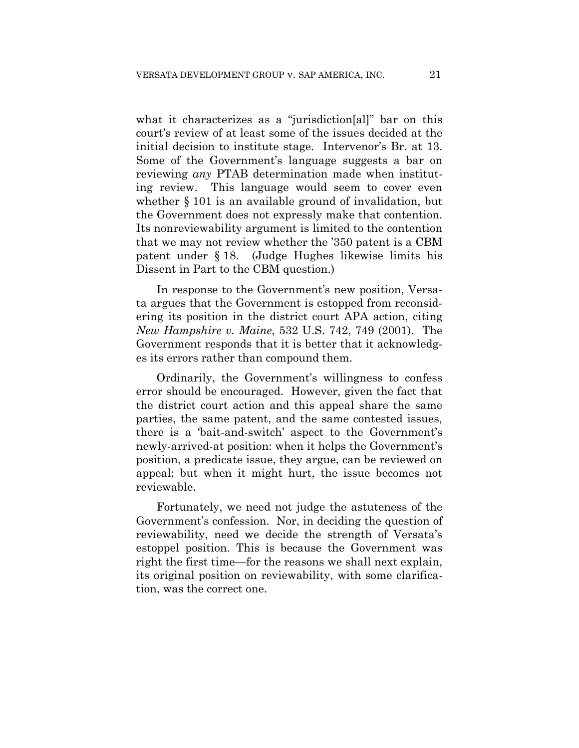what it characterizes as a "jurisdiction[al]" bar on this court's review of at least some of the issues decided at the initial decision to institute stage. Intervenor's Br. at 13. Some of the Government's language suggests a bar on reviewing *any* PTAB determination made when instituting review. This language would seem to cover even whether  $\S 101$  is an available ground of invalidation, but the Government does not expressly make that contention. Its nonreviewability argument is limited to the contention that we may not review whether the '350 patent is a CBM patent under § 18. (Judge Hughes likewise limits his Dissent in Part to the CBM question.)

In response to the Government's new position, Versata argues that the Government is estopped from reconsidering its position in the district court APA action, citing *New Hampshire v. Maine*, 532 U.S. 742, 749 (2001). The Government responds that it is better that it acknowledges its errors rather than compound them.

Ordinarily, the Government's willingness to confess error should be encouraged. However, given the fact that the district court action and this appeal share the same parties, the same patent, and the same contested issues, there is a 'bait-and-switch' aspect to the Government's newly-arrived-at position: when it helps the Government's position, a predicate issue, they argue, can be reviewed on appeal; but when it might hurt, the issue becomes not reviewable.

Fortunately, we need not judge the astuteness of the Government's confession. Nor, in deciding the question of reviewability, need we decide the strength of Versata's estoppel position. This is because the Government was right the first time—for the reasons we shall next explain, its original position on reviewability, with some clarification, was the correct one.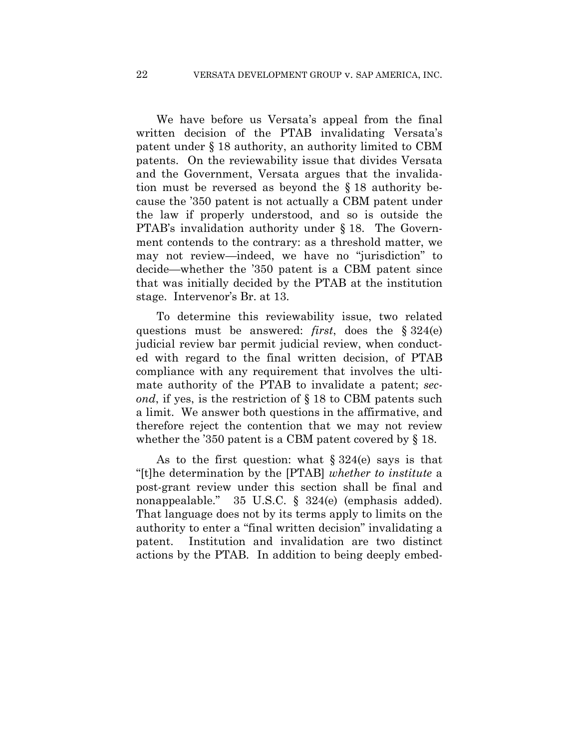We have before us Versata's appeal from the final written decision of the PTAB invalidating Versata's patent under § 18 authority, an authority limited to CBM patents. On the reviewability issue that divides Versata and the Government, Versata argues that the invalidation must be reversed as beyond the § 18 authority because the '350 patent is not actually a CBM patent under the law if properly understood, and so is outside the PTAB's invalidation authority under § 18. The Government contends to the contrary: as a threshold matter, we may not review—indeed, we have no "jurisdiction" to decide—whether the '350 patent is a CBM patent since that was initially decided by the PTAB at the institution stage. Intervenor's Br. at 13.

To determine this reviewability issue, two related questions must be answered: *first*, does the § 324(e) judicial review bar permit judicial review, when conducted with regard to the final written decision, of PTAB compliance with any requirement that involves the ultimate authority of the PTAB to invalidate a patent; *second*, if yes, is the restriction of § 18 to CBM patents such a limit. We answer both questions in the affirmative, and therefore reject the contention that we may not review whether the '350 patent is a CBM patent covered by § 18.

As to the first question: what  $\S 324(e)$  says is that "[t]he determination by the [PTAB] *whether to institute* a post-grant review under this section shall be final and nonappealable." 35 U.S.C. § 324(e) (emphasis added). That language does not by its terms apply to limits on the authority to enter a "final written decision" invalidating a patent. Institution and invalidation are two distinct actions by the PTAB. In addition to being deeply embed-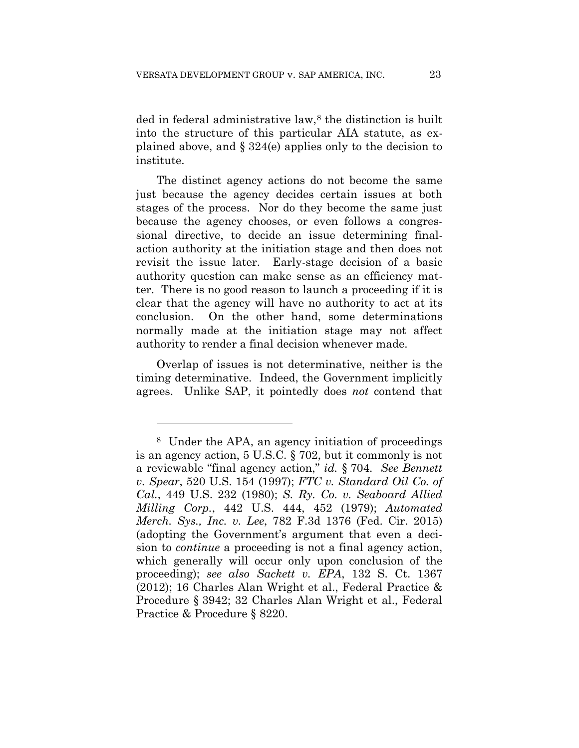ded in federal administrative law,<sup>8</sup> the distinction is built into the structure of this particular AIA statute, as explained above, and § 324(e) applies only to the decision to institute.

The distinct agency actions do not become the same just because the agency decides certain issues at both stages of the process. Nor do they become the same just because the agency chooses, or even follows a congressional directive, to decide an issue determining finalaction authority at the initiation stage and then does not revisit the issue later. Early-stage decision of a basic authority question can make sense as an efficiency matter. There is no good reason to launch a proceeding if it is clear that the agency will have no authority to act at its conclusion. On the other hand, some determinations normally made at the initiation stage may not affect authority to render a final decision whenever made.

Overlap of issues is not determinative, neither is the timing determinative. Indeed, the Government implicitly agrees. Unlike SAP, it pointedly does *not* contend that

1

<sup>8</sup> Under the APA, an agency initiation of proceedings is an agency action, 5 U.S.C. § 702, but it commonly is not a reviewable "final agency action," *id.* § 704. *See Bennett v. Spear*, 520 U.S. 154 (1997); *FTC v. Standard Oil Co. of Cal.*, 449 U.S. 232 (1980); *S. Ry. Co. v. Seaboard Allied Milling Corp.*, 442 U.S. 444, 452 (1979); *Automated Merch. Sys., Inc. v. Lee*, 782 F.3d 1376 (Fed. Cir. 2015) (adopting the Government's argument that even a decision to *continue* a proceeding is not a final agency action, which generally will occur only upon conclusion of the proceeding); *see also Sackett v. EPA*, 132 S. Ct. 1367 (2012); 16 Charles Alan Wright et al., Federal Practice & Procedure § 3942; 32 Charles Alan Wright et al., Federal Practice & Procedure § 8220.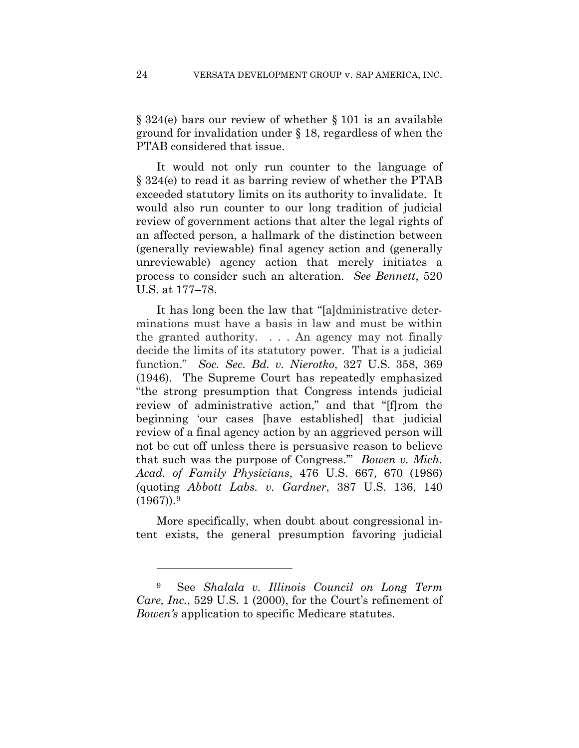§ 324(e) bars our review of whether § 101 is an available ground for invalidation under § 18, regardless of when the PTAB considered that issue.

It would not only run counter to the language of § 324(e) to read it as barring review of whether the PTAB exceeded statutory limits on its authority to invalidate. It would also run counter to our long tradition of judicial review of government actions that alter the legal rights of an affected person, a hallmark of the distinction between (generally reviewable) final agency action and (generally unreviewable) agency action that merely initiates a process to consider such an alteration. *See Bennett*, 520 U.S. at 177–78.

It has long been the law that "[a]dministrative determinations must have a basis in law and must be within the granted authority. . . . An agency may not finally decide the limits of its statutory power. That is a judicial function." *Soc. Sec. Bd. v. Nierotko*, 327 U.S. 358, 369 (1946). The Supreme Court has repeatedly emphasized "the strong presumption that Congress intends judicial review of administrative action," and that "[f]rom the beginning 'our cases [have established] that judicial review of a final agency action by an aggrieved person will not be cut off unless there is persuasive reason to believe that such was the purpose of Congress.'" *Bowen v. Mich. Acad. of Family Physicians*, 476 U.S. 667, 670 (1986) (quoting *Abbott Labs. v. Gardner*, 387 U.S. 136, 140  $(1967)$ ).<sup>9</sup>

More specifically, when doubt about congressional intent exists, the general presumption favoring judicial

1

<sup>9</sup> See *Shalala v. Illinois Council on Long Term Care, Inc.*, 529 U.S. 1 (2000), for the Court's refinement of *Bowen's* application to specific Medicare statutes.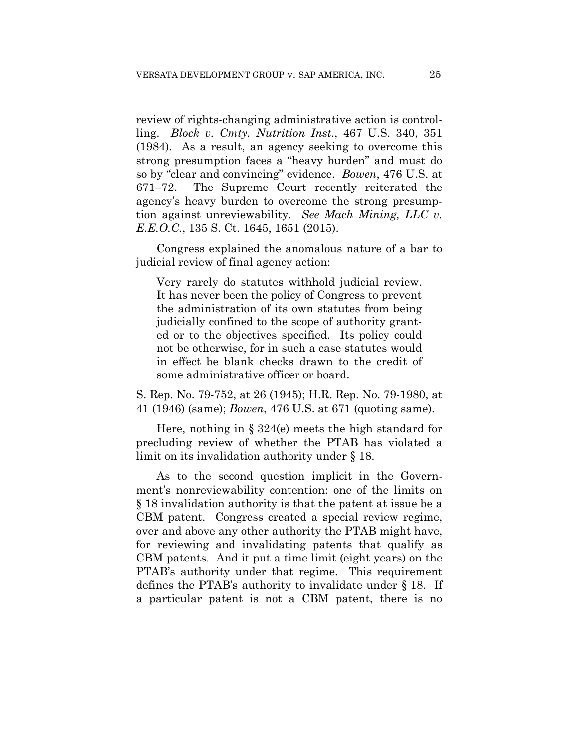review of rights-changing administrative action is controlling. *Block v. Cmty. Nutrition Inst.*, 467 U.S. 340, 351 (1984). As a result, an agency seeking to overcome this strong presumption faces a "heavy burden" and must do so by "clear and convincing" evidence. *Bowen*, 476 U.S. at 671–72. The Supreme Court recently reiterated the agency's heavy burden to overcome the strong presumption against unreviewability. *See Mach Mining, LLC v. E.E.O.C.*, 135 S. Ct. 1645, 1651 (2015).

Congress explained the anomalous nature of a bar to judicial review of final agency action:

Very rarely do statutes withhold judicial review. It has never been the policy of Congress to prevent the administration of its own statutes from being judicially confined to the scope of authority granted or to the objectives specified. Its policy could not be otherwise, for in such a case statutes would in effect be blank checks drawn to the credit of some administrative officer or board.

S. Rep. No. 79-752, at 26 (1945); H.R. Rep. No. 79-1980, at 41 (1946) (same); *Bowen*, 476 U.S. at 671 (quoting same).

Here, nothing in  $\S 324(e)$  meets the high standard for precluding review of whether the PTAB has violated a limit on its invalidation authority under § 18.

As to the second question implicit in the Government's nonreviewability contention: one of the limits on § 18 invalidation authority is that the patent at issue be a CBM patent. Congress created a special review regime, over and above any other authority the PTAB might have, for reviewing and invalidating patents that qualify as CBM patents. And it put a time limit (eight years) on the PTAB's authority under that regime. This requirement defines the PTAB's authority to invalidate under § 18. If a particular patent is not a CBM patent, there is no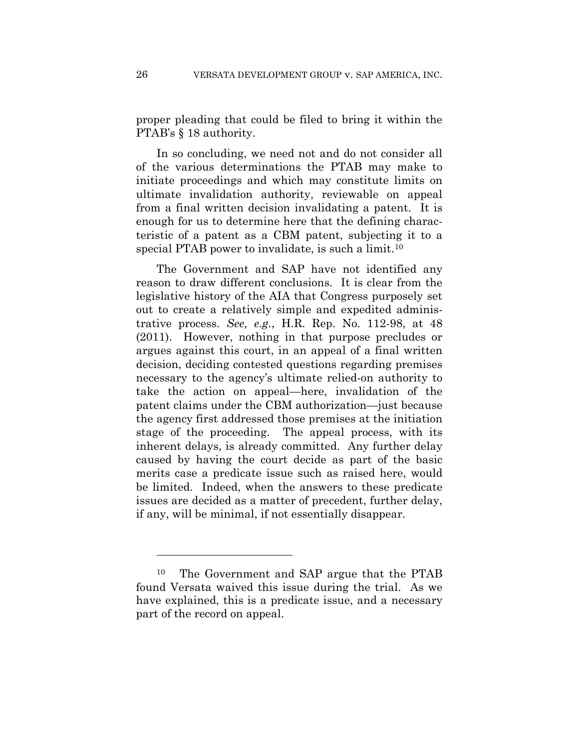proper pleading that could be filed to bring it within the PTAB's § 18 authority.

In so concluding, we need not and do not consider all of the various determinations the PTAB may make to initiate proceedings and which may constitute limits on ultimate invalidation authority, reviewable on appeal from a final written decision invalidating a patent. It is enough for us to determine here that the defining characteristic of a patent as a CBM patent, subjecting it to a special PTAB power to invalidate, is such a limit.<sup>10</sup>

The Government and SAP have not identified any reason to draw different conclusions. It is clear from the legislative history of the AIA that Congress purposely set out to create a relatively simple and expedited administrative process. *See, e.g.*, H.R. Rep. No. 112-98, at 48 (2011). However, nothing in that purpose precludes or argues against this court, in an appeal of a final written decision, deciding contested questions regarding premises necessary to the agency's ultimate relied-on authority to take the action on appeal—here, invalidation of the patent claims under the CBM authorization—just because the agency first addressed those premises at the initiation stage of the proceeding. The appeal process, with its inherent delays, is already committed. Any further delay caused by having the court decide as part of the basic merits case a predicate issue such as raised here, would be limited. Indeed, when the answers to these predicate issues are decided as a matter of precedent, further delay, if any, will be minimal, if not essentially disappear.

<u>.</u>

<sup>10</sup> The Government and SAP argue that the PTAB found Versata waived this issue during the trial. As we have explained, this is a predicate issue, and a necessary part of the record on appeal.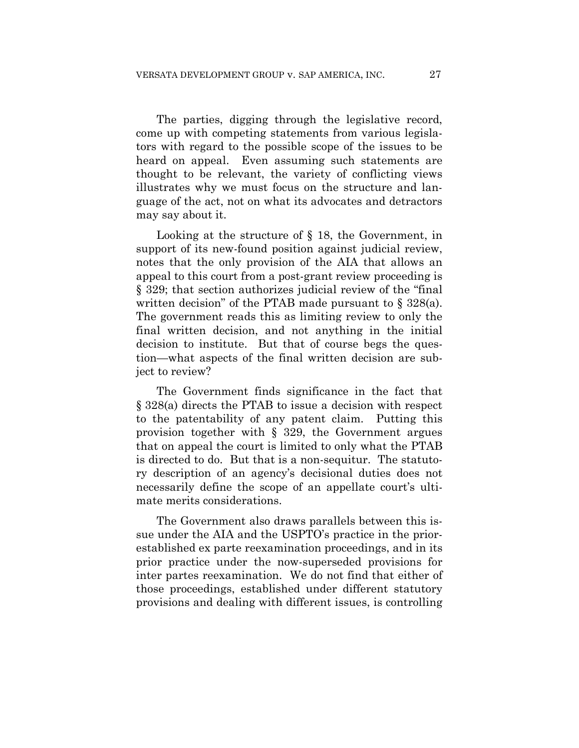The parties, digging through the legislative record, come up with competing statements from various legislators with regard to the possible scope of the issues to be heard on appeal. Even assuming such statements are thought to be relevant, the variety of conflicting views illustrates why we must focus on the structure and language of the act, not on what its advocates and detractors may say about it.

Looking at the structure of § 18, the Government, in support of its new-found position against judicial review, notes that the only provision of the AIA that allows an appeal to this court from a post-grant review proceeding is § 329; that section authorizes judicial review of the "final written decision" of the PTAB made pursuant to  $\S$  328(a). The government reads this as limiting review to only the final written decision, and not anything in the initial decision to institute. But that of course begs the question—what aspects of the final written decision are subject to review?

The Government finds significance in the fact that § 328(a) directs the PTAB to issue a decision with respect to the patentability of any patent claim. Putting this provision together with § 329, the Government argues that on appeal the court is limited to only what the PTAB is directed to do. But that is a non-sequitur. The statutory description of an agency's decisional duties does not necessarily define the scope of an appellate court's ultimate merits considerations.

The Government also draws parallels between this issue under the AIA and the USPTO's practice in the priorestablished ex parte reexamination proceedings, and in its prior practice under the now-superseded provisions for inter partes reexamination. We do not find that either of those proceedings, established under different statutory provisions and dealing with different issues, is controlling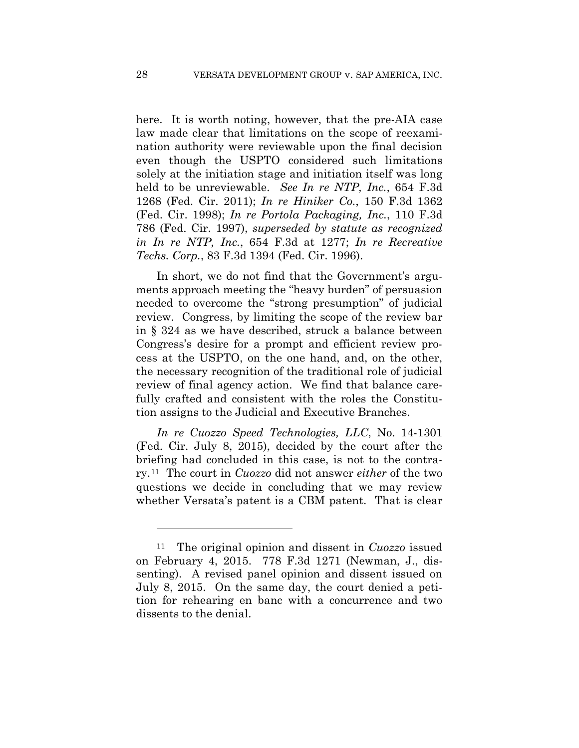here. It is worth noting, however, that the pre-AIA case law made clear that limitations on the scope of reexamination authority were reviewable upon the final decision even though the USPTO considered such limitations solely at the initiation stage and initiation itself was long held to be unreviewable. *See In re NTP, Inc.*, 654 F.3d 1268 (Fed. Cir. 2011); *In re Hiniker Co.*, 150 F.3d 1362 (Fed. Cir. 1998); *In re Portola Packaging, Inc.*, 110 F.3d 786 (Fed. Cir. 1997), *superseded by statute as recognized in In re NTP, Inc.*, 654 F.3d at 1277; *In re Recreative Techs. Corp.*, 83 F.3d 1394 (Fed. Cir. 1996).

In short, we do not find that the Government's arguments approach meeting the "heavy burden" of persuasion needed to overcome the "strong presumption" of judicial review. Congress, by limiting the scope of the review bar in § 324 as we have described, struck a balance between Congress's desire for a prompt and efficient review process at the USPTO, on the one hand, and, on the other, the necessary recognition of the traditional role of judicial review of final agency action. We find that balance carefully crafted and consistent with the roles the Constitution assigns to the Judicial and Executive Branches.

*In re Cuozzo Speed Technologies, LLC*, No. 14-1301 (Fed. Cir. July 8, 2015), decided by the court after the briefing had concluded in this case, is not to the contrary.11 The court in *Cuozzo* did not answer *either* of the two questions we decide in concluding that we may review whether Versata's patent is a CBM patent. That is clear

1

<sup>11</sup> The original opinion and dissent in *Cuozzo* issued on February 4, 2015. 778 F.3d 1271 (Newman, J., dissenting). A revised panel opinion and dissent issued on July 8, 2015. On the same day, the court denied a petition for rehearing en banc with a concurrence and two dissents to the denial.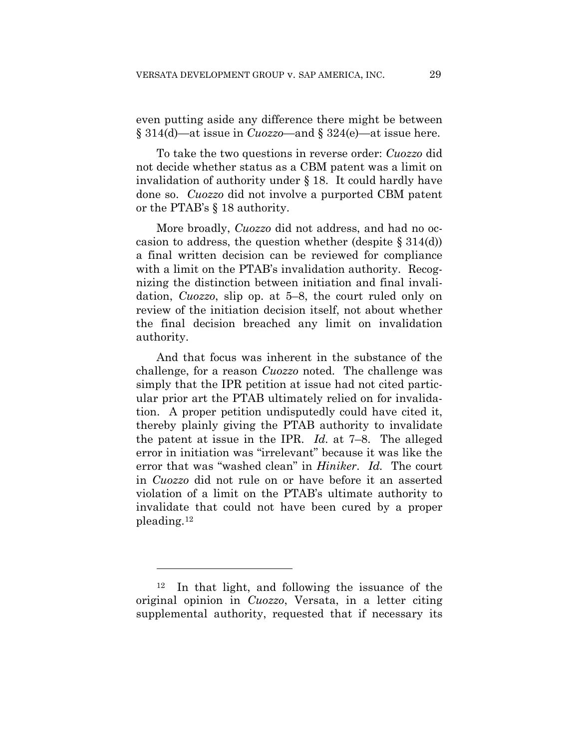even putting aside any difference there might be between § 314(d)—at issue in *Cuozzo*—and § 324(e)—at issue here.

To take the two questions in reverse order: *Cuozzo* did not decide whether status as a CBM patent was a limit on invalidation of authority under § 18. It could hardly have done so. *Cuozzo* did not involve a purported CBM patent or the PTAB's § 18 authority.

More broadly, *Cuozzo* did not address, and had no occasion to address, the question whether (despite  $\S 314(d)$ ) a final written decision can be reviewed for compliance with a limit on the PTAB's invalidation authority. Recognizing the distinction between initiation and final invalidation, *Cuozzo*, slip op. at 5–8, the court ruled only on review of the initiation decision itself, not about whether the final decision breached any limit on invalidation authority.

And that focus was inherent in the substance of the challenge, for a reason *Cuozzo* noted. The challenge was simply that the IPR petition at issue had not cited particular prior art the PTAB ultimately relied on for invalidation. A proper petition undisputedly could have cited it, thereby plainly giving the PTAB authority to invalidate the patent at issue in the IPR. *Id.* at 7–8. The alleged error in initiation was "irrelevant" because it was like the error that was "washed clean" in *Hiniker*. *Id.* The court in *Cuozzo* did not rule on or have before it an asserted violation of a limit on the PTAB's ultimate authority to invalidate that could not have been cured by a proper pleading.12

1

<sup>12</sup> In that light, and following the issuance of the original opinion in *Cuozzo*, Versata, in a letter citing supplemental authority, requested that if necessary its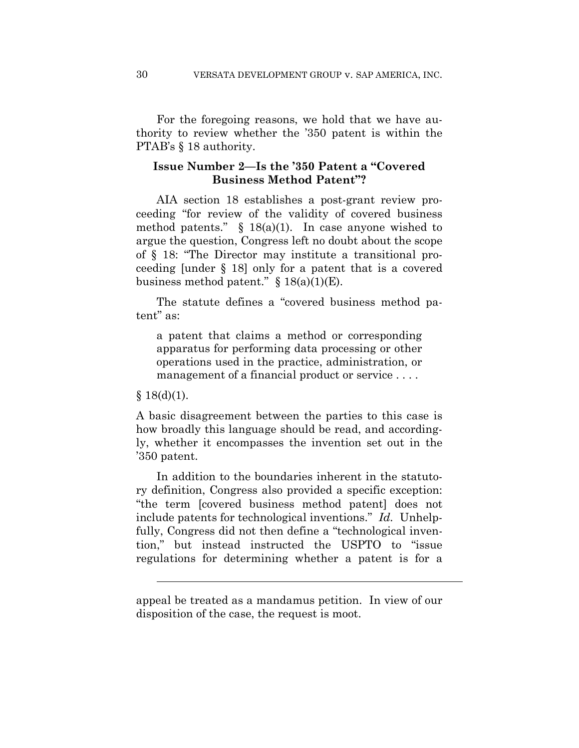For the foregoing reasons, we hold that we have authority to review whether the '350 patent is within the PTAB's  $§$  18 authority.

## **Issue Number 2—Is the '350 Patent a "Covered Business Method Patent"?**

AIA section 18 establishes a post-grant review proceeding "for review of the validity of covered business method patents."  $\S$  18(a)(1). In case anyone wished to argue the question, Congress left no doubt about the scope of § 18: "The Director may institute a transitional proceeding [under § 18] only for a patent that is a covered business method patent."  $\S$  18(a)(1)(E).

The statute defines a "covered business method patent" as:

a patent that claims a method or corresponding apparatus for performing data processing or other operations used in the practice, administration, or management of a financial product or service . . . .

#### $§ 18(d)(1).$

l

A basic disagreement between the parties to this case is how broadly this language should be read, and accordingly, whether it encompasses the invention set out in the '350 patent.

In addition to the boundaries inherent in the statutory definition, Congress also provided a specific exception: "the term [covered business method patent] does not include patents for technological inventions." *Id.* Unhelpfully, Congress did not then define a "technological invention," but instead instructed the USPTO to "issue regulations for determining whether a patent is for a

appeal be treated as a mandamus petition. In view of our disposition of the case, the request is moot.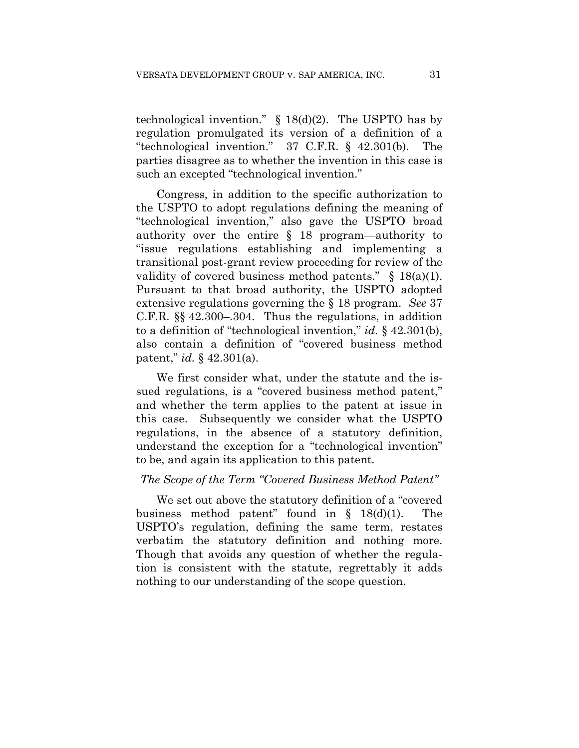technological invention."  $\S$  18(d)(2). The USPTO has by regulation promulgated its version of a definition of a "technological invention." 37 C.F.R. § 42.301(b). The parties disagree as to whether the invention in this case is such an excepted "technological invention."

Congress, in addition to the specific authorization to the USPTO to adopt regulations defining the meaning of "technological invention," also gave the USPTO broad authority over the entire § 18 program—authority to "issue regulations establishing and implementing a transitional post-grant review proceeding for review of the validity of covered business method patents."  $\S$  18(a)(1). Pursuant to that broad authority, the USPTO adopted extensive regulations governing the § 18 program. *See* 37 C.F.R. §§ 42.300–.304. Thus the regulations, in addition to a definition of "technological invention," *id.* § 42.301(b), also contain a definition of "covered business method patent," *id.* § 42.301(a).

We first consider what, under the statute and the issued regulations, is a "covered business method patent," and whether the term applies to the patent at issue in this case. Subsequently we consider what the USPTO regulations, in the absence of a statutory definition, understand the exception for a "technological invention" to be, and again its application to this patent*.* 

#### *The Scope of the Term "Covered Business Method Patent"*

We set out above the statutory definition of a "covered business method patent" found in § 18(d)(1). The USPTO's regulation, defining the same term, restates verbatim the statutory definition and nothing more. Though that avoids any question of whether the regulation is consistent with the statute, regrettably it adds nothing to our understanding of the scope question.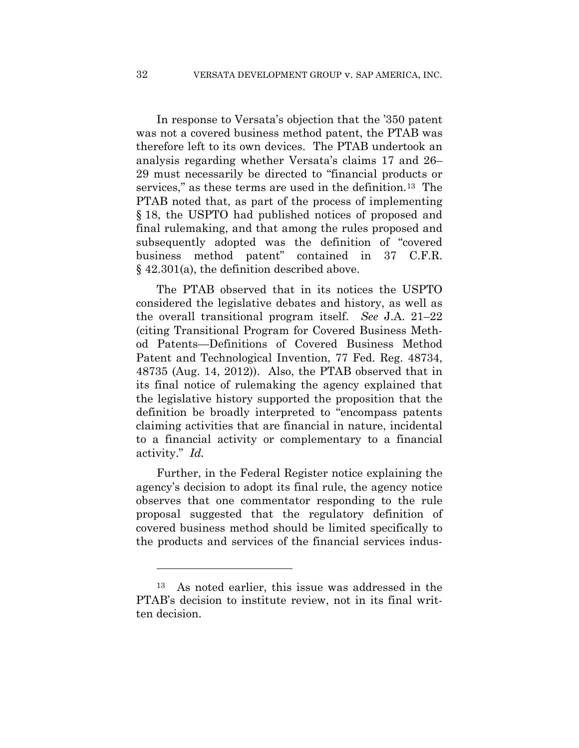In response to Versata's objection that the '350 patent was not a covered business method patent, the PTAB was therefore left to its own devices. The PTAB undertook an analysis regarding whether Versata's claims 17 and 26– 29 must necessarily be directed to "financial products or services," as these terms are used in the definition.<sup>13</sup> The PTAB noted that, as part of the process of implementing § 18, the USPTO had published notices of proposed and final rulemaking, and that among the rules proposed and subsequently adopted was the definition of "covered business method patent" contained in 37 C.F.R. § 42.301(a), the definition described above.

The PTAB observed that in its notices the USPTO considered the legislative debates and history, as well as the overall transitional program itself. *See* J.A. 21–22 (citing Transitional Program for Covered Business Method Patents—Definitions of Covered Business Method Patent and Technological Invention, 77 Fed. Reg. 48734, 48735 (Aug. 14, 2012)). Also, the PTAB observed that in its final notice of rulemaking the agency explained that the legislative history supported the proposition that the definition be broadly interpreted to "encompass patents claiming activities that are financial in nature, incidental to a financial activity or complementary to a financial activity." *Id.*

Further, in the Federal Register notice explaining the agency's decision to adopt its final rule, the agency notice observes that one commentator responding to the rule proposal suggested that the regulatory definition of covered business method should be limited specifically to the products and services of the financial services indus-

1

<sup>13</sup> As noted earlier, this issue was addressed in the PTAB's decision to institute review, not in its final written decision.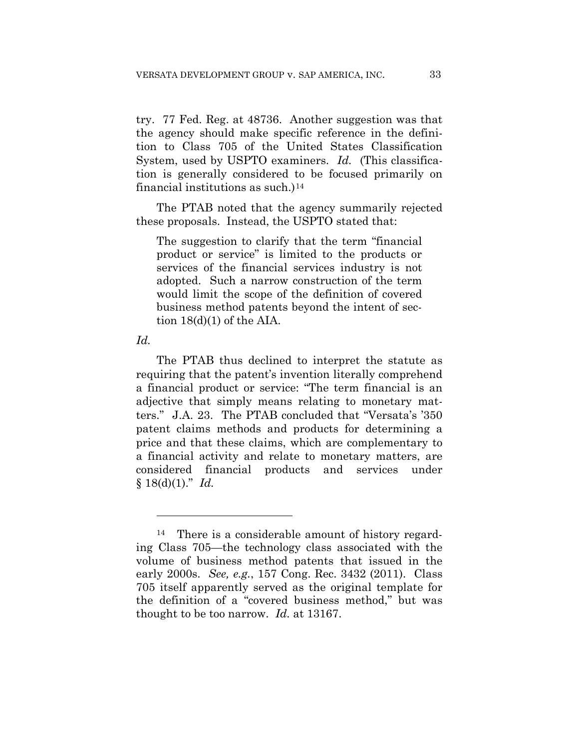try. 77 Fed. Reg. at 48736. Another suggestion was that the agency should make specific reference in the definition to Class 705 of the United States Classification System, used by USPTO examiners. *Id.* (This classification is generally considered to be focused primarily on financial institutions as such.) $14$ 

The PTAB noted that the agency summarily rejected these proposals. Instead, the USPTO stated that:

The suggestion to clarify that the term "financial product or service" is limited to the products or services of the financial services industry is not adopted. Such a narrow construction of the term would limit the scope of the definition of covered business method patents beyond the intent of section  $18(d)(1)$  of the AIA.

*Id.*

<u>.</u>

The PTAB thus declined to interpret the statute as requiring that the patent's invention literally comprehend a financial product or service: "The term financial is an adjective that simply means relating to monetary matters." J.A. 23. The PTAB concluded that "Versata's '350 patent claims methods and products for determining a price and that these claims, which are complementary to a financial activity and relate to monetary matters, are considered financial products and services under  $§ 18(d)(1)." Id.$ 

There is a considerable amount of history regarding Class 705—the technology class associated with the volume of business method patents that issued in the early 2000s. *See, e.g.*, 157 Cong. Rec. 3432 (2011). Class 705 itself apparently served as the original template for the definition of a "covered business method," but was thought to be too narrow. *Id.* at 13167.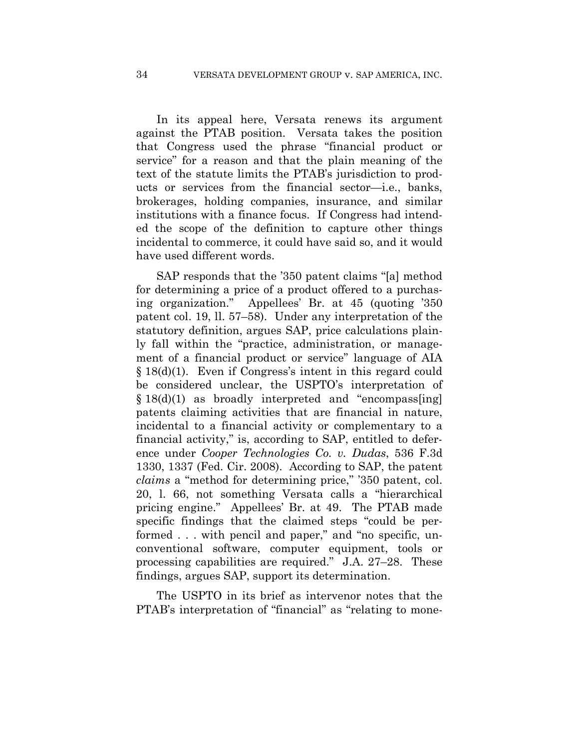In its appeal here, Versata renews its argument against the PTAB position. Versata takes the position that Congress used the phrase "financial product or service" for a reason and that the plain meaning of the text of the statute limits the PTAB's jurisdiction to products or services from the financial sector—i.e., banks, brokerages, holding companies, insurance, and similar institutions with a finance focus. If Congress had intended the scope of the definition to capture other things incidental to commerce, it could have said so, and it would have used different words.

SAP responds that the '350 patent claims "[a] method for determining a price of a product offered to a purchasing organization." Appellees' Br. at 45 (quoting '350 patent col. 19, ll. 57–58). Under any interpretation of the statutory definition, argues SAP, price calculations plainly fall within the "practice, administration, or management of a financial product or service" language of AIA § 18(d)(1). Even if Congress's intent in this regard could be considered unclear, the USPTO's interpretation of § 18(d)(1) as broadly interpreted and "encompass[ing] patents claiming activities that are financial in nature, incidental to a financial activity or complementary to a financial activity," is, according to SAP, entitled to deference under *Cooper Technologies Co. v. Dudas*, 536 F.3d 1330, 1337 (Fed. Cir. 2008). According to SAP, the patent *claims* a "method for determining price," '350 patent, col. 20, l. 66, not something Versata calls a "hierarchical pricing engine." Appellees' Br. at 49. The PTAB made specific findings that the claimed steps "could be performed . . . with pencil and paper," and "no specific, unconventional software, computer equipment, tools or processing capabilities are required." J.A. 27–28. These findings, argues SAP, support its determination.

The USPTO in its brief as intervenor notes that the PTAB's interpretation of "financial" as "relating to mone-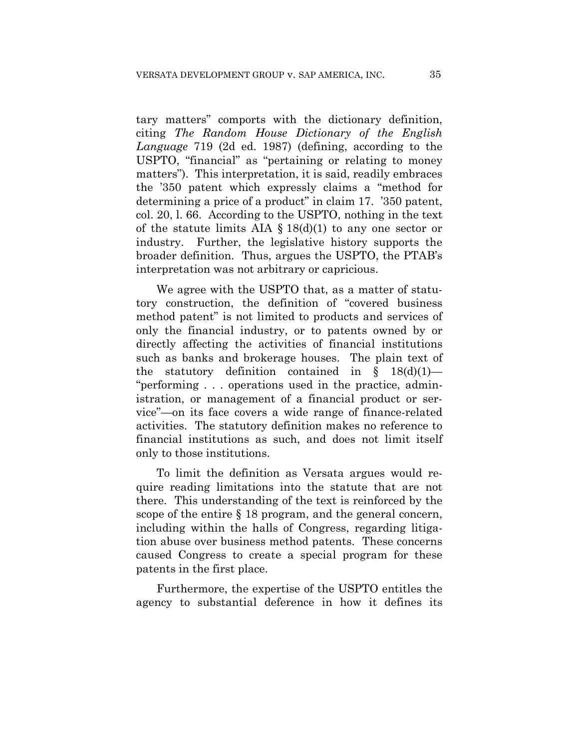tary matters" comports with the dictionary definition, citing *The Random House Dictionary of the English Language* 719 (2d ed. 1987) (defining, according to the USPTO, "financial" as "pertaining or relating to money matters"). This interpretation, it is said, readily embraces the '350 patent which expressly claims a "method for determining a price of a product" in claim 17. '350 patent, col. 20, l. 66. According to the USPTO, nothing in the text of the statute limits AIA  $\S 18(d)(1)$  to any one sector or industry. Further, the legislative history supports the broader definition. Thus, argues the USPTO, the PTAB's interpretation was not arbitrary or capricious.

We agree with the USPTO that, as a matter of statutory construction, the definition of "covered business method patent" is not limited to products and services of only the financial industry, or to patents owned by or directly affecting the activities of financial institutions such as banks and brokerage houses. The plain text of the statutory definition contained in  $\S$  18(d)(1)— "performing . . . operations used in the practice, administration, or management of a financial product or service"—on its face covers a wide range of finance-related activities. The statutory definition makes no reference to financial institutions as such, and does not limit itself only to those institutions.

To limit the definition as Versata argues would require reading limitations into the statute that are not there. This understanding of the text is reinforced by the scope of the entire § 18 program, and the general concern, including within the halls of Congress, regarding litigation abuse over business method patents. These concerns caused Congress to create a special program for these patents in the first place.

Furthermore, the expertise of the USPTO entitles the agency to substantial deference in how it defines its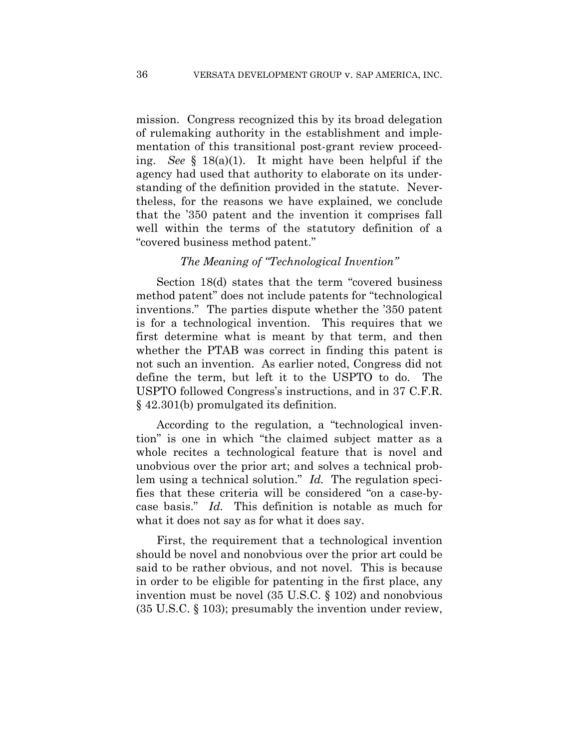mission. Congress recognized this by its broad delegation of rulemaking authority in the establishment and implementation of this transitional post-grant review proceeding. *See* § 18(a)(1). It might have been helpful if the agency had used that authority to elaborate on its understanding of the definition provided in the statute. Nevertheless, for the reasons we have explained, we conclude that the '350 patent and the invention it comprises fall well within the terms of the statutory definition of a "covered business method patent."

## *The Meaning of "Technological Invention"*

Section 18(d) states that the term "covered business method patent" does not include patents for "technological inventions." The parties dispute whether the '350 patent is for a technological invention. This requires that we first determine what is meant by that term, and then whether the PTAB was correct in finding this patent is not such an invention. As earlier noted, Congress did not define the term, but left it to the USPTO to do. The USPTO followed Congress's instructions, and in 37 C.F.R. § 42.301(b) promulgated its definition.

According to the regulation, a "technological invention" is one in which "the claimed subject matter as a whole recites a technological feature that is novel and unobvious over the prior art; and solves a technical problem using a technical solution." *Id.* The regulation specifies that these criteria will be considered "on a case-bycase basis." *Id.* This definition is notable as much for what it does not say as for what it does say.

First, the requirement that a technological invention should be novel and nonobvious over the prior art could be said to be rather obvious, and not novel. This is because in order to be eligible for patenting in the first place, any invention must be novel (35 U.S.C. § 102) and nonobvious (35 U.S.C. § 103); presumably the invention under review,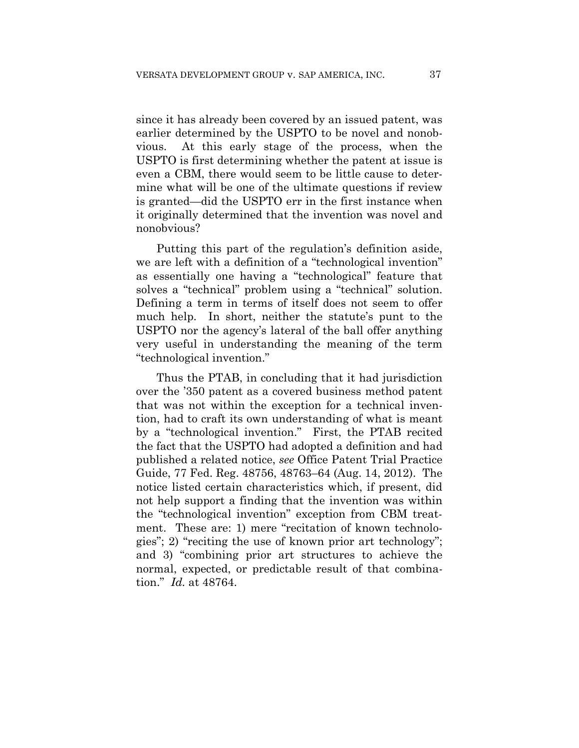since it has already been covered by an issued patent, was earlier determined by the USPTO to be novel and nonobvious. At this early stage of the process, when the USPTO is first determining whether the patent at issue is even a CBM, there would seem to be little cause to determine what will be one of the ultimate questions if review is granted—did the USPTO err in the first instance when it originally determined that the invention was novel and nonobvious?

Putting this part of the regulation's definition aside, we are left with a definition of a "technological invention" as essentially one having a "technological" feature that solves a "technical" problem using a "technical" solution. Defining a term in terms of itself does not seem to offer much help. In short, neither the statute's punt to the USPTO nor the agency's lateral of the ball offer anything very useful in understanding the meaning of the term "technological invention."

Thus the PTAB, in concluding that it had jurisdiction over the '350 patent as a covered business method patent that was not within the exception for a technical invention, had to craft its own understanding of what is meant by a "technological invention." First, the PTAB recited the fact that the USPTO had adopted a definition and had published a related notice, *see* Office Patent Trial Practice Guide, 77 Fed. Reg. 48756, 48763–64 (Aug. 14, 2012). The notice listed certain characteristics which, if present, did not help support a finding that the invention was within the "technological invention" exception from CBM treatment. These are: 1) mere "recitation of known technologies"; 2) "reciting the use of known prior art technology"; and 3) "combining prior art structures to achieve the normal, expected, or predictable result of that combination." *Id.* at 48764.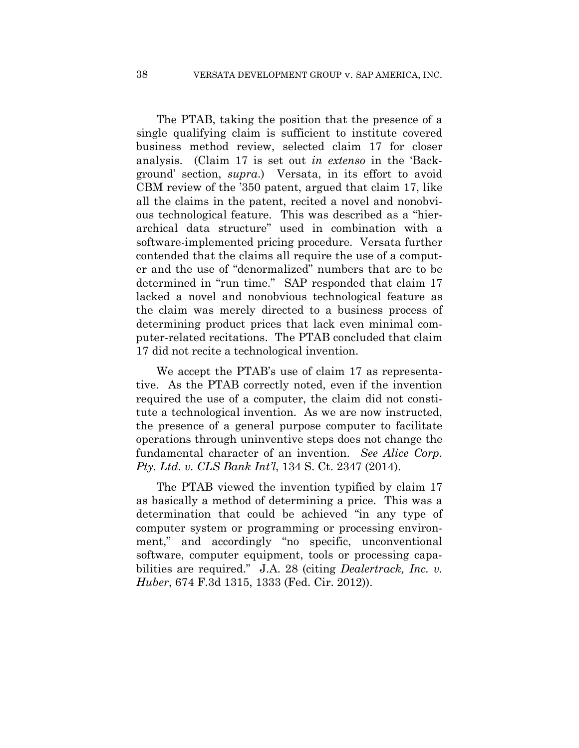The PTAB, taking the position that the presence of a single qualifying claim is sufficient to institute covered business method review, selected claim 17 for closer analysis. (Claim 17 is set out *in extenso* in the 'Background' section, *supra*.) Versata, in its effort to avoid CBM review of the '350 patent, argued that claim 17, like all the claims in the patent, recited a novel and nonobvious technological feature. This was described as a "hierarchical data structure" used in combination with a software-implemented pricing procedure. Versata further contended that the claims all require the use of a computer and the use of "denormalized" numbers that are to be determined in "run time." SAP responded that claim 17 lacked a novel and nonobvious technological feature as the claim was merely directed to a business process of determining product prices that lack even minimal computer-related recitations. The PTAB concluded that claim 17 did not recite a technological invention.

We accept the PTAB's use of claim 17 as representative. As the PTAB correctly noted, even if the invention required the use of a computer, the claim did not constitute a technological invention. As we are now instructed, the presence of a general purpose computer to facilitate operations through uninventive steps does not change the fundamental character of an invention. *See Alice Corp. Pty. Ltd. v. CLS Bank Int'l*, 134 S. Ct. 2347 (2014).

The PTAB viewed the invention typified by claim 17 as basically a method of determining a price. This was a determination that could be achieved "in any type of computer system or programming or processing environment," and accordingly "no specific, unconventional software, computer equipment, tools or processing capabilities are required." J.A. 28 (citing *Dealertrack, Inc. v. Huber*, 674 F.3d 1315, 1333 (Fed. Cir. 2012)).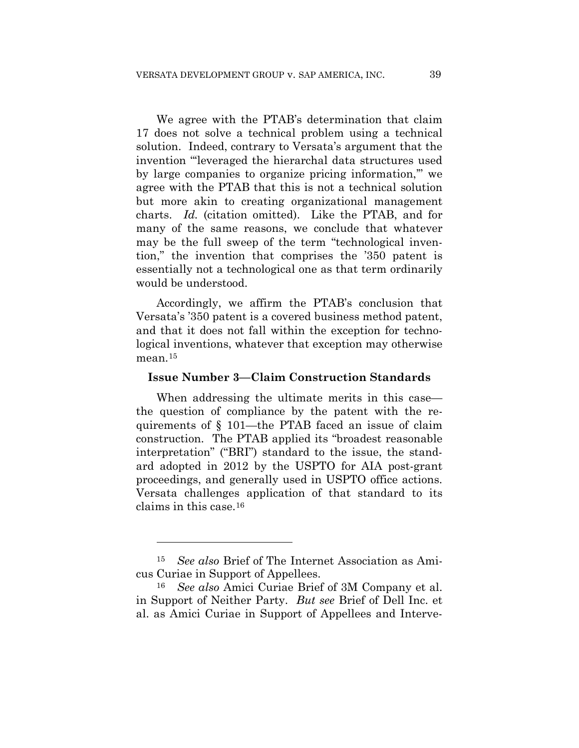We agree with the PTAB's determination that claim 17 does not solve a technical problem using a technical solution. Indeed, contrary to Versata's argument that the invention "'leveraged the hierarchal data structures used by large companies to organize pricing information,'" we agree with the PTAB that this is not a technical solution but more akin to creating organizational management charts. *Id.* (citation omitted). Like the PTAB, and for many of the same reasons, we conclude that whatever may be the full sweep of the term "technological invention," the invention that comprises the '350 patent is essentially not a technological one as that term ordinarily would be understood.

Accordingly, we affirm the PTAB's conclusion that Versata's '350 patent is a covered business method patent, and that it does not fall within the exception for technological inventions, whatever that exception may otherwise mean.<sup>15</sup>

#### **Issue Number 3—Claim Construction Standards**

When addressing the ultimate merits in this case the question of compliance by the patent with the requirements of § 101—the PTAB faced an issue of claim construction. The PTAB applied its "broadest reasonable interpretation" ("BRI") standard to the issue, the standard adopted in 2012 by the USPTO for AIA post-grant proceedings, and generally used in USPTO office actions. Versata challenges application of that standard to its claims in this case.16

1

<sup>15</sup> *See also* Brief of The Internet Association as Amicus Curiae in Support of Appellees.

<sup>16</sup> *See also* Amici Curiae Brief of 3M Company et al. in Support of Neither Party. *But see* Brief of Dell Inc. et al. as Amici Curiae in Support of Appellees and Interve-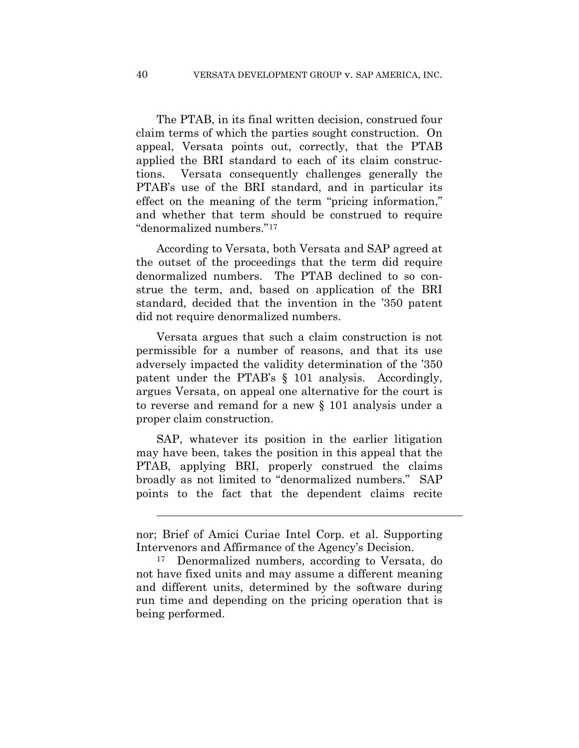The PTAB, in its final written decision, construed four claim terms of which the parties sought construction. On appeal, Versata points out, correctly, that the PTAB applied the BRI standard to each of its claim constructions. Versata consequently challenges generally the PTAB's use of the BRI standard, and in particular its effect on the meaning of the term "pricing information," and whether that term should be construed to require "denormalized numbers."17

According to Versata, both Versata and SAP agreed at the outset of the proceedings that the term did require denormalized numbers. The PTAB declined to so construe the term, and, based on application of the BRI standard, decided that the invention in the '350 patent did not require denormalized numbers.

Versata argues that such a claim construction is not permissible for a number of reasons, and that its use adversely impacted the validity determination of the '350 patent under the PTAB's § 101 analysis. Accordingly, argues Versata, on appeal one alternative for the court is to reverse and remand for a new § 101 analysis under a proper claim construction.

SAP, whatever its position in the earlier litigation may have been, takes the position in this appeal that the PTAB, applying BRI, properly construed the claims broadly as not limited to "denormalized numbers." SAP points to the fact that the dependent claims recite

 $\overline{a}$ 

nor; Brief of Amici Curiae Intel Corp. et al. Supporting Intervenors and Affirmance of the Agency's Decision.

<sup>17</sup> Denormalized numbers, according to Versata, do not have fixed units and may assume a different meaning and different units, determined by the software during run time and depending on the pricing operation that is being performed.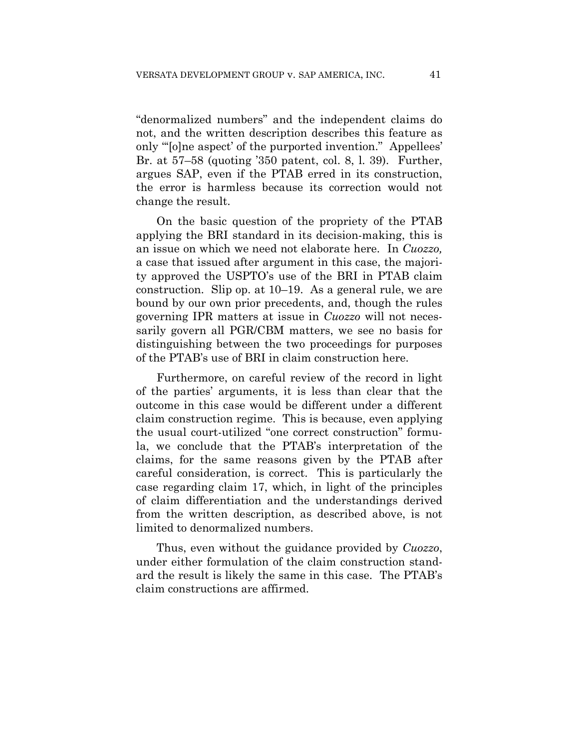"denormalized numbers" and the independent claims do not, and the written description describes this feature as only "'[o]ne aspect' of the purported invention." Appellees' Br. at 57–58 (quoting '350 patent, col. 8, l. 39). Further, argues SAP, even if the PTAB erred in its construction, the error is harmless because its correction would not change the result.

On the basic question of the propriety of the PTAB applying the BRI standard in its decision-making, this is an issue on which we need not elaborate here. In *Cuozzo,* a case that issued after argument in this case, the majority approved the USPTO's use of the BRI in PTAB claim construction. Slip op. at 10–19. As a general rule, we are bound by our own prior precedents, and, though the rules governing IPR matters at issue in *Cuozzo* will not necessarily govern all PGR/CBM matters, we see no basis for distinguishing between the two proceedings for purposes of the PTAB's use of BRI in claim construction here.

Furthermore, on careful review of the record in light of the parties' arguments, it is less than clear that the outcome in this case would be different under a different claim construction regime. This is because, even applying the usual court-utilized "one correct construction" formula, we conclude that the PTAB's interpretation of the claims, for the same reasons given by the PTAB after careful consideration, is correct. This is particularly the case regarding claim 17, which, in light of the principles of claim differentiation and the understandings derived from the written description, as described above, is not limited to denormalized numbers.

Thus, even without the guidance provided by *Cuozzo*, under either formulation of the claim construction standard the result is likely the same in this case. The PTAB's claim constructions are affirmed.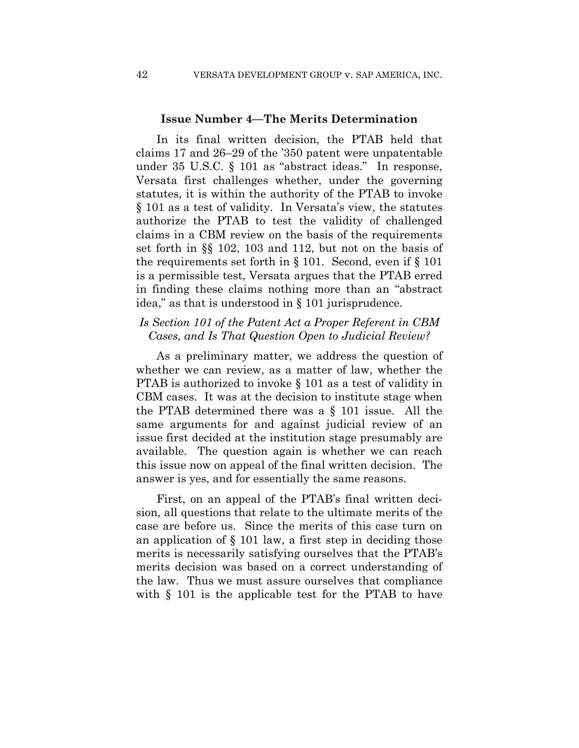#### **Issue Number 4—The Merits Determination**

In its final written decision, the PTAB held that claims 17 and 26–29 of the '350 patent were unpatentable under 35 U.S.C. § 101 as "abstract ideas." In response, Versata first challenges whether, under the governing statutes, it is within the authority of the PTAB to invoke § 101 as a test of validity. In Versata's view, the statutes authorize the PTAB to test the validity of challenged claims in a CBM review on the basis of the requirements set forth in §§ 102, 103 and 112, but not on the basis of the requirements set forth in § 101. Second, even if § 101 is a permissible test, Versata argues that the PTAB erred in finding these claims nothing more than an "abstract idea," as that is understood in § 101 jurisprudence.

## *Is Section 101 of the Patent Act a Proper Referent in CBM Cases, and Is That Question Open to Judicial Review?*

As a preliminary matter, we address the question of whether we can review, as a matter of law, whether the PTAB is authorized to invoke § 101 as a test of validity in CBM cases. It was at the decision to institute stage when the PTAB determined there was a § 101 issue. All the same arguments for and against judicial review of an issue first decided at the institution stage presumably are available. The question again is whether we can reach this issue now on appeal of the final written decision. The answer is yes, and for essentially the same reasons.

First, on an appeal of the PTAB's final written decision, all questions that relate to the ultimate merits of the case are before us. Since the merits of this case turn on an application of § 101 law, a first step in deciding those merits is necessarily satisfying ourselves that the PTAB's merits decision was based on a correct understanding of the law. Thus we must assure ourselves that compliance with § 101 is the applicable test for the PTAB to have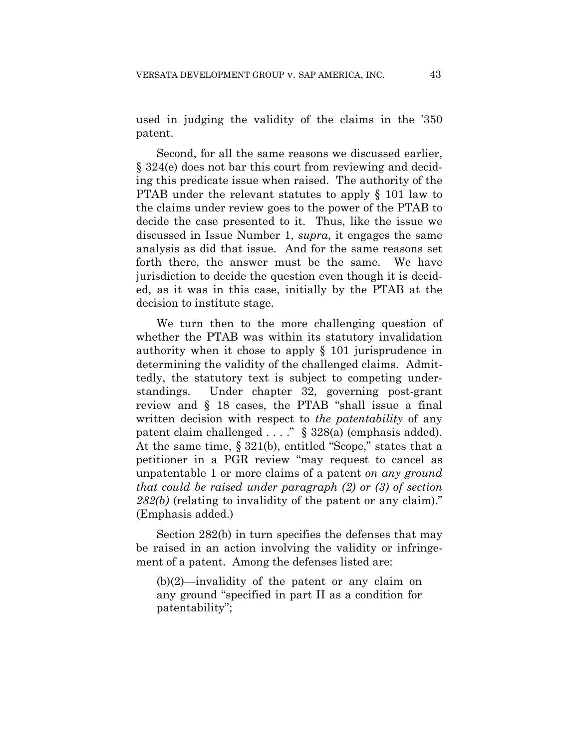used in judging the validity of the claims in the '350 patent.

Second, for all the same reasons we discussed earlier, § 324(e) does not bar this court from reviewing and deciding this predicate issue when raised. The authority of the PTAB under the relevant statutes to apply § 101 law to the claims under review goes to the power of the PTAB to decide the case presented to it. Thus, like the issue we discussed in Issue Number 1, *supra*, it engages the same analysis as did that issue. And for the same reasons set forth there, the answer must be the same. We have jurisdiction to decide the question even though it is decided, as it was in this case, initially by the PTAB at the decision to institute stage.

We turn then to the more challenging question of whether the PTAB was within its statutory invalidation authority when it chose to apply § 101 jurisprudence in determining the validity of the challenged claims. Admittedly, the statutory text is subject to competing understandings. Under chapter 32, governing post-grant review and § 18 cases, the PTAB "shall issue a final written decision with respect to *the patentability* of any patent claim challenged . . . ." § 328(a) (emphasis added). At the same time, § 321(b), entitled "Scope," states that a petitioner in a PGR review "may request to cancel as unpatentable 1 or more claims of a patent *on any ground that could be raised under paragraph (2) or (3) of section 282(b)* (relating to invalidity of the patent or any claim)." (Emphasis added.)

Section 282(b) in turn specifies the defenses that may be raised in an action involving the validity or infringement of a patent. Among the defenses listed are:

(b)(2)—invalidity of the patent or any claim on any ground "specified in part II as a condition for patentability";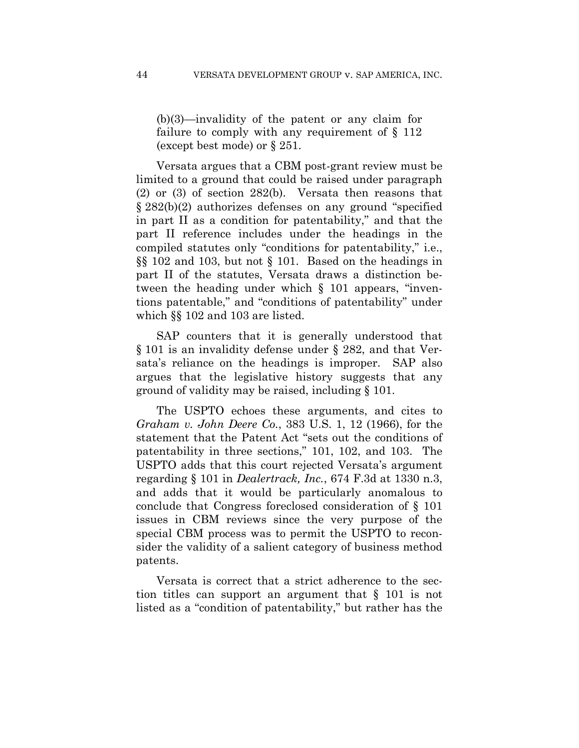(b)(3)—invalidity of the patent or any claim for failure to comply with any requirement of  $\S$  112 (except best mode) or § 251.

Versata argues that a CBM post-grant review must be limited to a ground that could be raised under paragraph (2) or (3) of section 282(b). Versata then reasons that § 282(b)(2) authorizes defenses on any ground "specified in part II as a condition for patentability," and that the part II reference includes under the headings in the compiled statutes only "conditions for patentability," i.e., §§ 102 and 103, but not § 101. Based on the headings in part II of the statutes, Versata draws a distinction between the heading under which § 101 appears, "inventions patentable," and "conditions of patentability" under which §§ 102 and 103 are listed.

SAP counters that it is generally understood that § 101 is an invalidity defense under § 282, and that Versata's reliance on the headings is improper. SAP also argues that the legislative history suggests that any ground of validity may be raised, including § 101.

The USPTO echoes these arguments, and cites to *Graham v. John Deere Co.*, 383 U.S. 1, 12 (1966), for the statement that the Patent Act "sets out the conditions of patentability in three sections," 101, 102, and 103. The USPTO adds that this court rejected Versata's argument regarding § 101 in *Dealertrack, Inc.*, 674 F.3d at 1330 n.3, and adds that it would be particularly anomalous to conclude that Congress foreclosed consideration of § 101 issues in CBM reviews since the very purpose of the special CBM process was to permit the USPTO to reconsider the validity of a salient category of business method patents.

Versata is correct that a strict adherence to the section titles can support an argument that § 101 is not listed as a "condition of patentability," but rather has the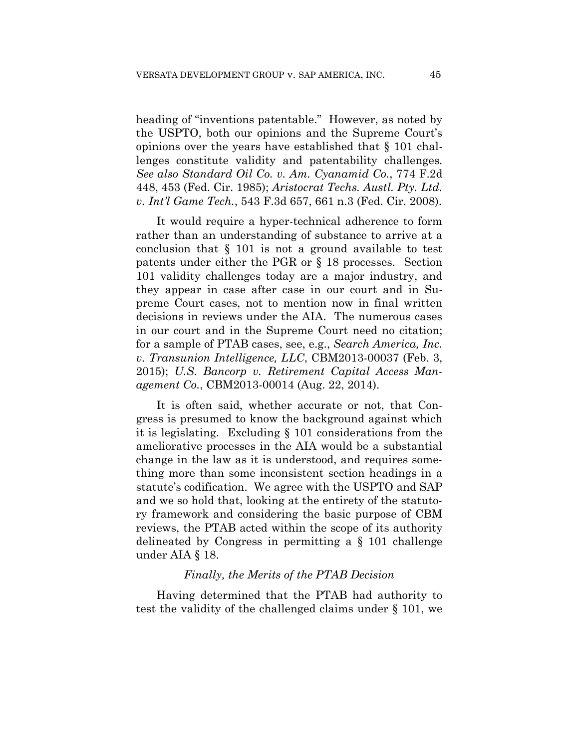heading of "inventions patentable." However, as noted by the USPTO, both our opinions and the Supreme Court's opinions over the years have established that § 101 challenges constitute validity and patentability challenges. *See also Standard Oil Co. v. Am. Cyanamid Co.*, 774 F.2d 448, 453 (Fed. Cir. 1985); *Aristocrat Techs. Austl. Pty. Ltd. v. Int'l Game Tech.*, 543 F.3d 657, 661 n.3 (Fed. Cir. 2008).

It would require a hyper-technical adherence to form rather than an understanding of substance to arrive at a conclusion that § 101 is not a ground available to test patents under either the PGR or § 18 processes. Section 101 validity challenges today are a major industry, and they appear in case after case in our court and in Supreme Court cases, not to mention now in final written decisions in reviews under the AIA. The numerous cases in our court and in the Supreme Court need no citation; for a sample of PTAB cases, see, e.g., *Search America, Inc. v. Transunion Intelligence, LLC*, CBM2013-00037 (Feb. 3, 2015); *U.S. Bancorp v. Retirement Capital Access Management Co.*, CBM2013-00014 (Aug. 22, 2014).

It is often said, whether accurate or not, that Congress is presumed to know the background against which it is legislating. Excluding § 101 considerations from the ameliorative processes in the AIA would be a substantial change in the law as it is understood, and requires something more than some inconsistent section headings in a statute's codification. We agree with the USPTO and SAP and we so hold that, looking at the entirety of the statutory framework and considering the basic purpose of CBM reviews, the PTAB acted within the scope of its authority delineated by Congress in permitting a § 101 challenge under AIA § 18.

#### *Finally, the Merits of the PTAB Decision*

Having determined that the PTAB had authority to test the validity of the challenged claims under § 101, we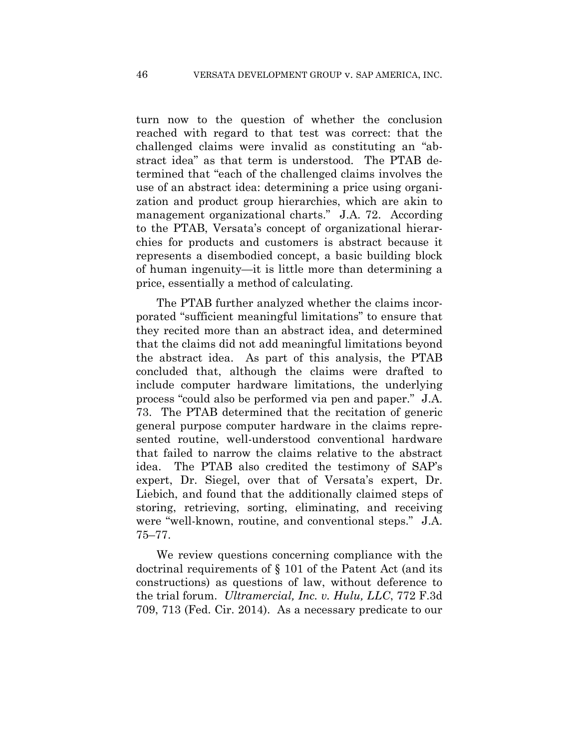turn now to the question of whether the conclusion reached with regard to that test was correct: that the challenged claims were invalid as constituting an "abstract idea" as that term is understood. The PTAB determined that "each of the challenged claims involves the use of an abstract idea: determining a price using organization and product group hierarchies, which are akin to management organizational charts." J.A. 72. According to the PTAB, Versata's concept of organizational hierarchies for products and customers is abstract because it represents a disembodied concept, a basic building block of human ingenuity—it is little more than determining a price, essentially a method of calculating.

The PTAB further analyzed whether the claims incorporated "sufficient meaningful limitations" to ensure that they recited more than an abstract idea, and determined that the claims did not add meaningful limitations beyond the abstract idea. As part of this analysis, the PTAB concluded that, although the claims were drafted to include computer hardware limitations, the underlying process "could also be performed via pen and paper." J.A. 73. The PTAB determined that the recitation of generic general purpose computer hardware in the claims represented routine, well-understood conventional hardware that failed to narrow the claims relative to the abstract idea.The PTAB also credited the testimony of SAP's expert, Dr. Siegel, over that of Versata's expert, Dr. Liebich, and found that the additionally claimed steps of storing, retrieving, sorting, eliminating, and receiving were "well-known, routine, and conventional steps." J.A. 75–77.

We review questions concerning compliance with the doctrinal requirements of § 101 of the Patent Act (and its constructions) as questions of law, without deference to the trial forum. *Ultramercial, Inc. v. Hulu, LLC*, 772 F.3d 709, 713 (Fed. Cir. 2014). As a necessary predicate to our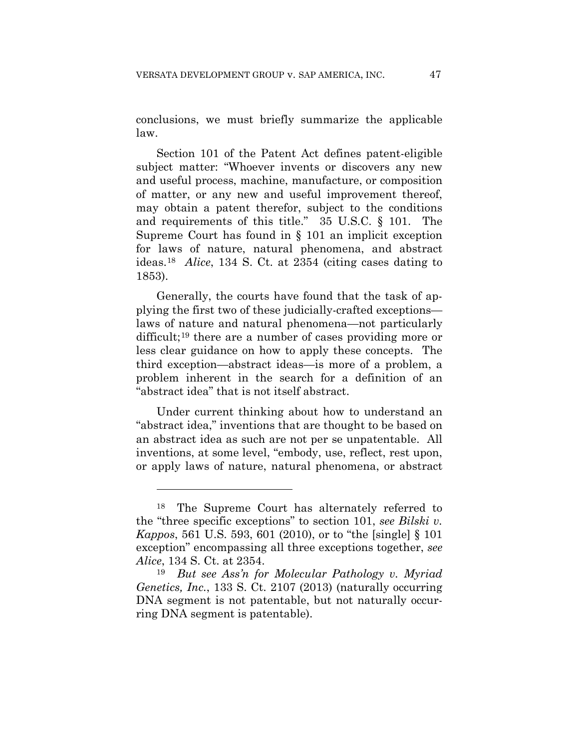conclusions, we must briefly summarize the applicable law.

Section 101 of the Patent Act defines patent-eligible subject matter: "Whoever invents or discovers any new and useful process, machine, manufacture, or composition of matter, or any new and useful improvement thereof, may obtain a patent therefor, subject to the conditions and requirements of this title." 35 U.S.C. § 101. The Supreme Court has found in § 101 an implicit exception for laws of nature, natural phenomena, and abstract ideas.18 *Alice*, 134 S. Ct. at 2354 (citing cases dating to 1853).

Generally, the courts have found that the task of applying the first two of these judicially-crafted exceptions laws of nature and natural phenomena—not particularly difficult;19 there are a number of cases providing more or less clear guidance on how to apply these concepts. The third exception—abstract ideas—is more of a problem, a problem inherent in the search for a definition of an "abstract idea" that is not itself abstract.

Under current thinking about how to understand an "abstract idea," inventions that are thought to be based on an abstract idea as such are not per se unpatentable. All inventions, at some level, "embody, use, reflect, rest upon, or apply laws of nature, natural phenomena, or abstract

1

<sup>18</sup> The Supreme Court has alternately referred to the "three specific exceptions" to section 101, *see Bilski v. Kappos*, 561 U.S. 593, 601 (2010), or to "the [single] § 101 exception" encompassing all three exceptions together, *see Alice*, 134 S. Ct. at 2354.

<sup>19</sup> *But see Ass'n for Molecular Pathology v. Myriad Genetics, Inc.*, 133 S. Ct. 2107 (2013) (naturally occurring DNA segment is not patentable, but not naturally occurring DNA segment is patentable).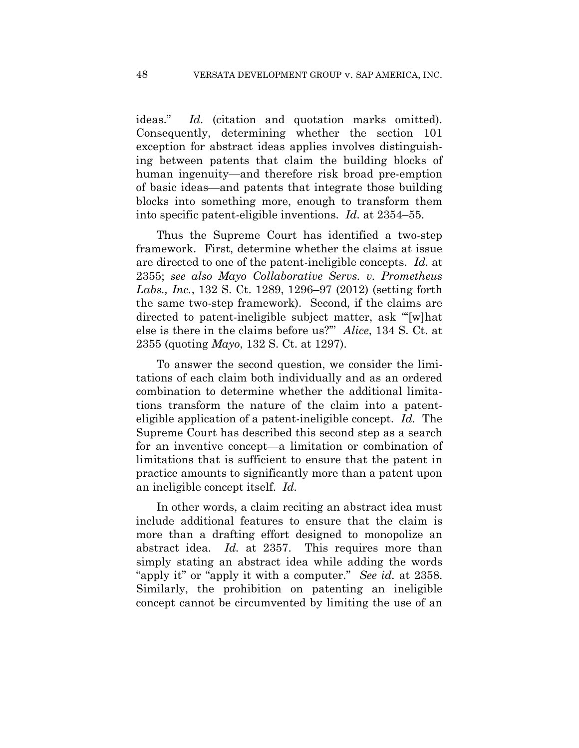ideas." *Id.* (citation and quotation marks omitted). Consequently, determining whether the section 101 exception for abstract ideas applies involves distinguishing between patents that claim the building blocks of human ingenuity—and therefore risk broad pre-emption of basic ideas—and patents that integrate those building blocks into something more, enough to transform them into specific patent-eligible inventions. *Id.* at 2354–55.

Thus the Supreme Court has identified a two-step framework. First, determine whether the claims at issue are directed to one of the patent-ineligible concepts. *Id.* at 2355; *see also Mayo Collaborative Servs. v. Prometheus Labs., Inc.*, 132 S. Ct. 1289, 1296–97 (2012) (setting forth the same two-step framework). Second, if the claims are directed to patent-ineligible subject matter, ask "'[w]hat else is there in the claims before us?'" *Alice*, 134 S. Ct. at 2355 (quoting *Mayo*, 132 S. Ct. at 1297).

To answer the second question, we consider the limitations of each claim both individually and as an ordered combination to determine whether the additional limitations transform the nature of the claim into a patenteligible application of a patent-ineligible concept. *Id.* The Supreme Court has described this second step as a search for an inventive concept—a limitation or combination of limitations that is sufficient to ensure that the patent in practice amounts to significantly more than a patent upon an ineligible concept itself. *Id.*

In other words, a claim reciting an abstract idea must include additional features to ensure that the claim is more than a drafting effort designed to monopolize an abstract idea. *Id.* at 2357. This requires more than simply stating an abstract idea while adding the words "apply it" or "apply it with a computer." *See id.* at 2358. Similarly, the prohibition on patenting an ineligible concept cannot be circumvented by limiting the use of an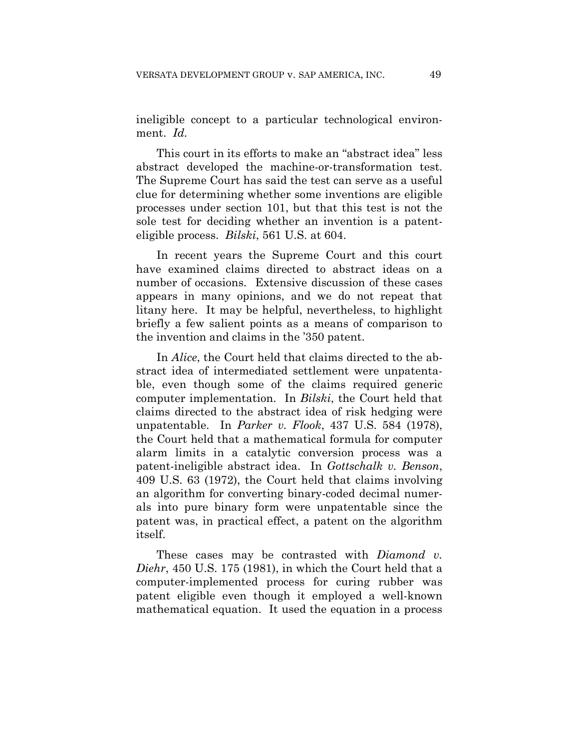ineligible concept to a particular technological environment. *Id.* 

This court in its efforts to make an "abstract idea" less abstract developed the machine-or-transformation test. The Supreme Court has said the test can serve as a useful clue for determining whether some inventions are eligible processes under section 101, but that this test is not the sole test for deciding whether an invention is a patenteligible process. *Bilski*, 561 U.S. at 604.

In recent years the Supreme Court and this court have examined claims directed to abstract ideas on a number of occasions. Extensive discussion of these cases appears in many opinions, and we do not repeat that litany here. It may be helpful, nevertheless, to highlight briefly a few salient points as a means of comparison to the invention and claims in the '350 patent.

In *Alice*, the Court held that claims directed to the abstract idea of intermediated settlement were unpatentable, even though some of the claims required generic computer implementation. In *Bilski*, the Court held that claims directed to the abstract idea of risk hedging were unpatentable. In *Parker v. Flook*, 437 U.S. 584 (1978), the Court held that a mathematical formula for computer alarm limits in a catalytic conversion process was a patent-ineligible abstract idea. In *Gottschalk v. Benson*, 409 U.S. 63 (1972), the Court held that claims involving an algorithm for converting binary-coded decimal numerals into pure binary form were unpatentable since the patent was, in practical effect, a patent on the algorithm itself.

These cases may be contrasted with *Diamond v. Diehr*, 450 U.S. 175 (1981), in which the Court held that a computer-implemented process for curing rubber was patent eligible even though it employed a well-known mathematical equation. It used the equation in a process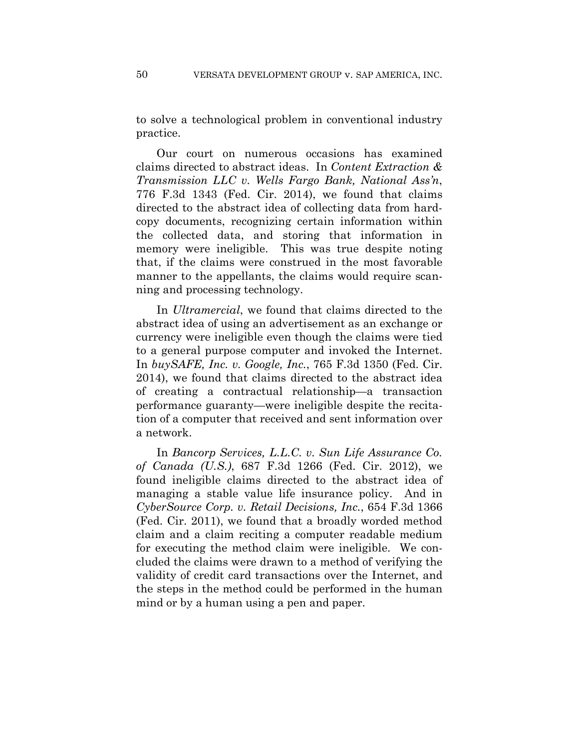to solve a technological problem in conventional industry practice.

Our court on numerous occasions has examined claims directed to abstract ideas. In *Content Extraction & Transmission LLC v. Wells Fargo Bank, National Ass'n*, 776 F.3d 1343 (Fed. Cir. 2014), we found that claims directed to the abstract idea of collecting data from hardcopy documents, recognizing certain information within the collected data, and storing that information in memory were ineligible. This was true despite noting that, if the claims were construed in the most favorable manner to the appellants, the claims would require scanning and processing technology.

In *Ultramercial*, we found that claims directed to the abstract idea of using an advertisement as an exchange or currency were ineligible even though the claims were tied to a general purpose computer and invoked the Internet. In *buySAFE, Inc. v. Google, Inc.*, 765 F.3d 1350 (Fed. Cir. 2014), we found that claims directed to the abstract idea of creating a contractual relationship—a transaction performance guaranty—were ineligible despite the recitation of a computer that received and sent information over a network.

In *Bancorp Services, L.L.C. v. Sun Life Assurance Co. of Canada (U.S.)*, 687 F.3d 1266 (Fed. Cir. 2012), we found ineligible claims directed to the abstract idea of managing a stable value life insurance policy. And in *CyberSource Corp. v. Retail Decisions, Inc.*, 654 F.3d 1366 (Fed. Cir. 2011), we found that a broadly worded method claim and a claim reciting a computer readable medium for executing the method claim were ineligible. We concluded the claims were drawn to a method of verifying the validity of credit card transactions over the Internet, and the steps in the method could be performed in the human mind or by a human using a pen and paper.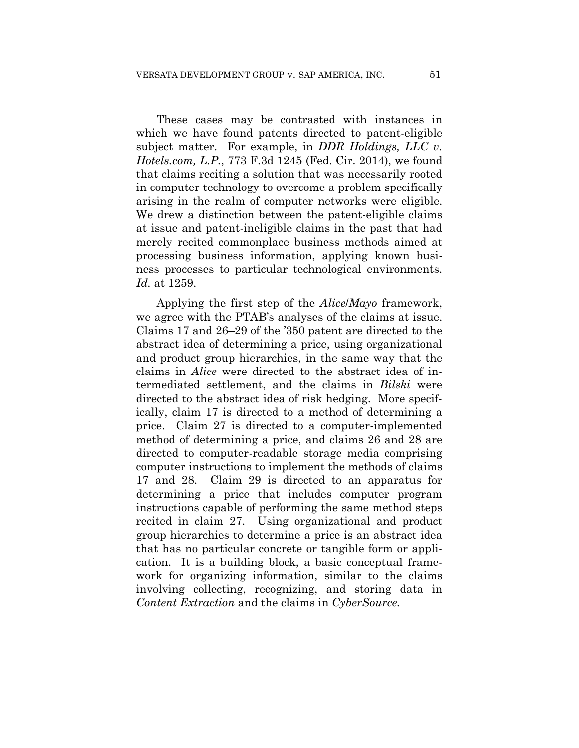These cases may be contrasted with instances in which we have found patents directed to patent-eligible subject matter. For example, in *DDR Holdings, LLC v. Hotels.com, L.P.*, 773 F.3d 1245 (Fed. Cir. 2014), we found that claims reciting a solution that was necessarily rooted in computer technology to overcome a problem specifically arising in the realm of computer networks were eligible. We drew a distinction between the patent-eligible claims at issue and patent-ineligible claims in the past that had merely recited commonplace business methods aimed at processing business information, applying known business processes to particular technological environments. *Id.* at 1259.

Applying the first step of the *Alice*/*Mayo* framework, we agree with the PTAB's analyses of the claims at issue. Claims 17 and 26–29 of the '350 patent are directed to the abstract idea of determining a price, using organizational and product group hierarchies, in the same way that the claims in *Alice* were directed to the abstract idea of intermediated settlement, and the claims in *Bilski* were directed to the abstract idea of risk hedging. More specifically, claim 17 is directed to a method of determining a price. Claim 27 is directed to a computer-implemented method of determining a price, and claims 26 and 28 are directed to computer-readable storage media comprising computer instructions to implement the methods of claims 17 and 28. Claim 29 is directed to an apparatus for determining a price that includes computer program instructions capable of performing the same method steps recited in claim 27. Using organizational and product group hierarchies to determine a price is an abstract idea that has no particular concrete or tangible form or application. It is a building block, a basic conceptual framework for organizing information, similar to the claims involving collecting, recognizing, and storing data in *Content Extraction* and the claims in *CyberSource.*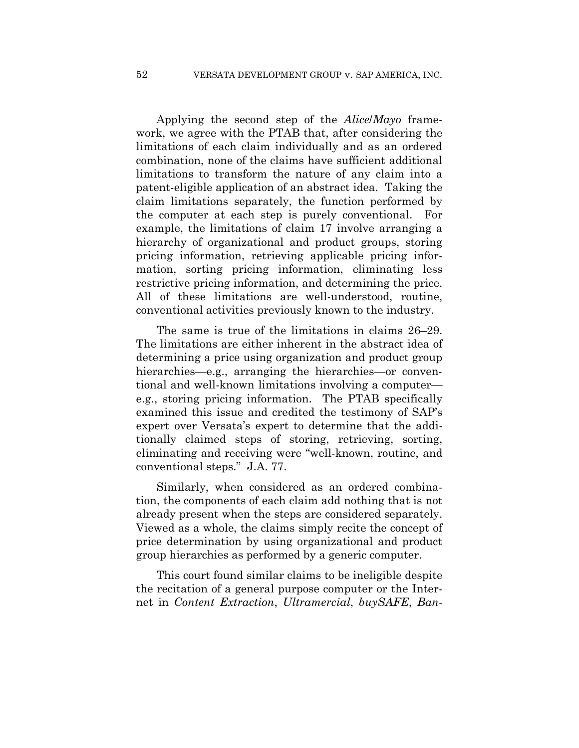Applying the second step of the *Alice*/*Mayo* framework, we agree with the PTAB that, after considering the limitations of each claim individually and as an ordered combination, none of the claims have sufficient additional limitations to transform the nature of any claim into a patent-eligible application of an abstract idea. Taking the claim limitations separately, the function performed by the computer at each step is purely conventional. For example, the limitations of claim 17 involve arranging a hierarchy of organizational and product groups, storing pricing information, retrieving applicable pricing information, sorting pricing information, eliminating less restrictive pricing information, and determining the price. All of these limitations are well-understood, routine, conventional activities previously known to the industry.

The same is true of the limitations in claims 26–29. The limitations are either inherent in the abstract idea of determining a price using organization and product group hierarchies—e.g., arranging the hierarchies—or conventional and well-known limitations involving a computer e.g., storing pricing information. The PTAB specifically examined this issue and credited the testimony of SAP's expert over Versata's expert to determine that the additionally claimed steps of storing, retrieving, sorting, eliminating and receiving were "well-known, routine, and conventional steps." J.A. 77.

Similarly, when considered as an ordered combination, the components of each claim add nothing that is not already present when the steps are considered separately. Viewed as a whole, the claims simply recite the concept of price determination by using organizational and product group hierarchies as performed by a generic computer.

This court found similar claims to be ineligible despite the recitation of a general purpose computer or the Internet in *Content Extraction*, *Ultramercial*, *buySAFE*, *Ban-*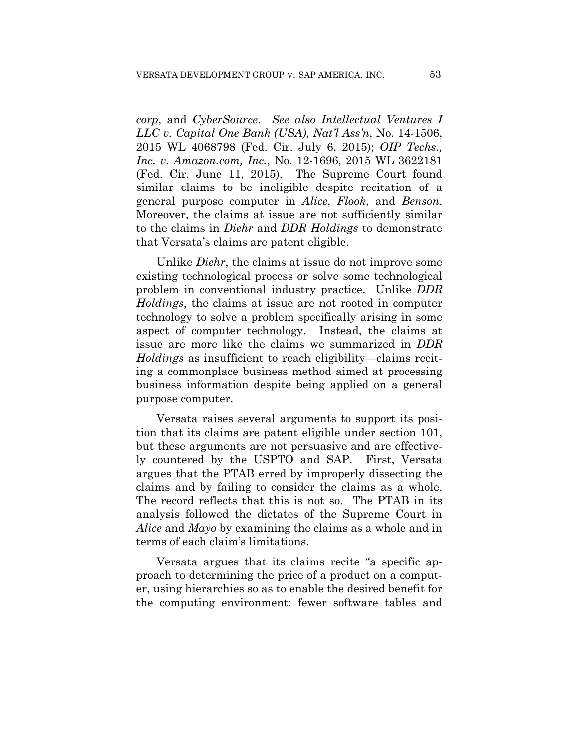*corp*, and *CyberSource*. *See also Intellectual Ventures I LLC v. Capital One Bank (USA), Nat'l Ass'n*, No. 14-1506, 2015 WL 4068798 (Fed. Cir. July 6, 2015); *OIP Techs., Inc. v. Amazon.com, Inc.*, No. 12-1696, 2015 WL 3622181 (Fed. Cir. June 11, 2015). The Supreme Court found similar claims to be ineligible despite recitation of a general purpose computer in *Alice*, *Flook*, and *Benson*. Moreover, the claims at issue are not sufficiently similar to the claims in *Diehr* and *DDR Holdings* to demonstrate that Versata's claims are patent eligible.

Unlike *Diehr*, the claims at issue do not improve some existing technological process or solve some technological problem in conventional industry practice. Unlike *DDR Holdings*, the claims at issue are not rooted in computer technology to solve a problem specifically arising in some aspect of computer technology. Instead, the claims at issue are more like the claims we summarized in *DDR Holdings* as insufficient to reach eligibility—claims reciting a commonplace business method aimed at processing business information despite being applied on a general purpose computer.

Versata raises several arguments to support its position that its claims are patent eligible under section 101, but these arguments are not persuasive and are effectively countered by the USPTO and SAP. First, Versata argues that the PTAB erred by improperly dissecting the claims and by failing to consider the claims as a whole. The record reflects that this is not so. The PTAB in its analysis followed the dictates of the Supreme Court in *Alice* and *Mayo* by examining the claims as a whole and in terms of each claim's limitations.

Versata argues that its claims recite "a specific approach to determining the price of a product on a computer, using hierarchies so as to enable the desired benefit for the computing environment: fewer software tables and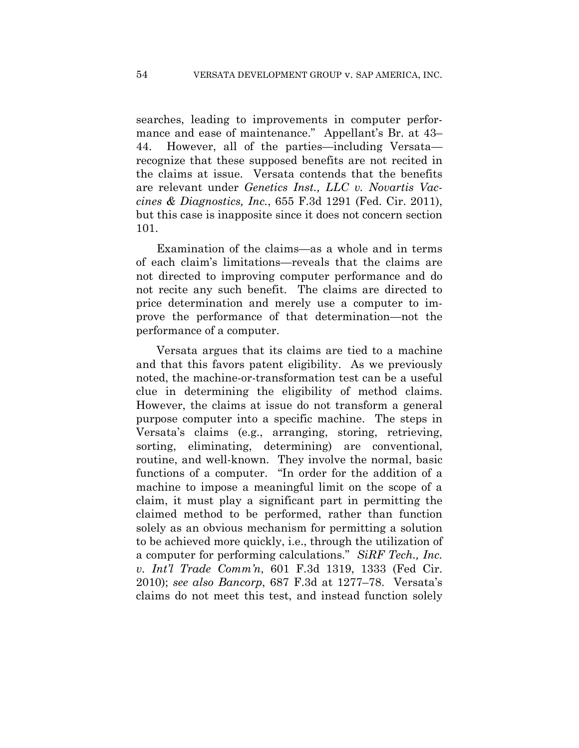searches, leading to improvements in computer performance and ease of maintenance." Appellant's Br. at 43– 44. However, all of the parties—including Versata recognize that these supposed benefits are not recited in the claims at issue. Versata contends that the benefits are relevant under *Genetics Inst., LLC v. Novartis Vaccines & Diagnostics, Inc.*, 655 F.3d 1291 (Fed. Cir. 2011), but this case is inapposite since it does not concern section 101.

Examination of the claims—as a whole and in terms of each claim's limitations—reveals that the claims are not directed to improving computer performance and do not recite any such benefit. The claims are directed to price determination and merely use a computer to improve the performance of that determination—not the performance of a computer.

Versata argues that its claims are tied to a machine and that this favors patent eligibility. As we previously noted, the machine-or-transformation test can be a useful clue in determining the eligibility of method claims. However, the claims at issue do not transform a general purpose computer into a specific machine. The steps in Versata's claims (e.g., arranging, storing, retrieving, sorting, eliminating, determining) are conventional, routine, and well-known. They involve the normal, basic functions of a computer. "In order for the addition of a machine to impose a meaningful limit on the scope of a claim, it must play a significant part in permitting the claimed method to be performed, rather than function solely as an obvious mechanism for permitting a solution to be achieved more quickly, i.e., through the utilization of a computer for performing calculations." *SiRF Tech., Inc. v. Int'l Trade Comm'n*, 601 F.3d 1319, 1333 (Fed Cir. 2010); *see also Bancorp*, 687 F.3d at 1277–78. Versata's claims do not meet this test, and instead function solely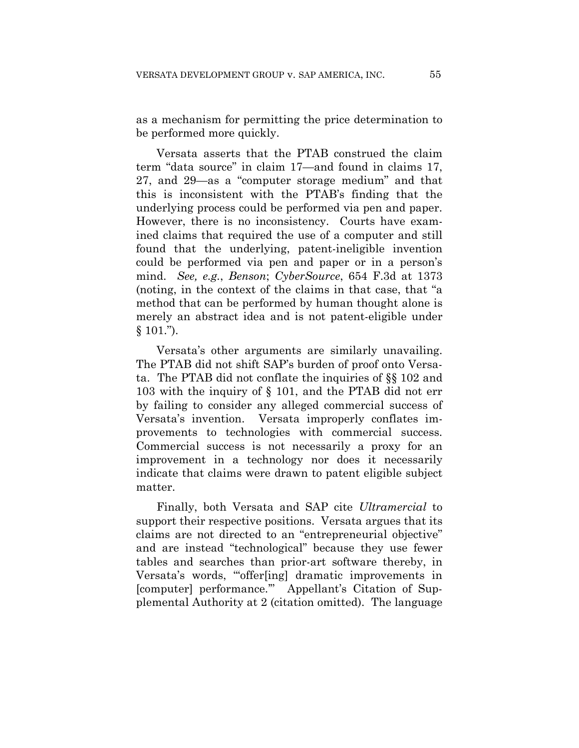as a mechanism for permitting the price determination to be performed more quickly.

Versata asserts that the PTAB construed the claim term "data source" in claim 17—and found in claims 17, 27, and 29—as a "computer storage medium" and that this is inconsistent with the PTAB's finding that the underlying process could be performed via pen and paper. However, there is no inconsistency. Courts have examined claims that required the use of a computer and still found that the underlying, patent-ineligible invention could be performed via pen and paper or in a person's mind. *See, e.g.*, *Benson*; *CyberSource*, 654 F.3d at 1373 (noting, in the context of the claims in that case, that "a method that can be performed by human thought alone is merely an abstract idea and is not patent-eligible under  $§ 101."$ ).

Versata's other arguments are similarly unavailing. The PTAB did not shift SAP's burden of proof onto Versata. The PTAB did not conflate the inquiries of §§ 102 and 103 with the inquiry of § 101, and the PTAB did not err by failing to consider any alleged commercial success of Versata's invention. Versata improperly conflates improvements to technologies with commercial success. Commercial success is not necessarily a proxy for an improvement in a technology nor does it necessarily indicate that claims were drawn to patent eligible subject matter.

Finally, both Versata and SAP cite *Ultramercial* to support their respective positions. Versata argues that its claims are not directed to an "entrepreneurial objective" and are instead "technological" because they use fewer tables and searches than prior-art software thereby, in Versata's words, "'offer[ing] dramatic improvements in [computer] performance.'" Appellant's Citation of Supplemental Authority at 2 (citation omitted). The language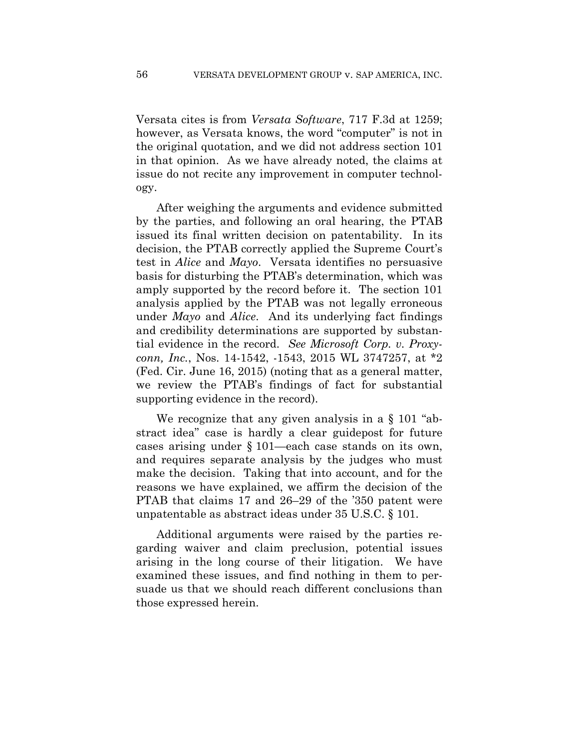Versata cites is from *Versata Software*, 717 F.3d at 1259; however, as Versata knows, the word "computer" is not in the original quotation, and we did not address section 101 in that opinion. As we have already noted, the claims at issue do not recite any improvement in computer technology.

After weighing the arguments and evidence submitted by the parties, and following an oral hearing, the PTAB issued its final written decision on patentability. In its decision, the PTAB correctly applied the Supreme Court's test in *Alice* and *Mayo*. Versata identifies no persuasive basis for disturbing the PTAB's determination, which was amply supported by the record before it. The section 101 analysis applied by the PTAB was not legally erroneous under *Mayo* and *Alice*. And its underlying fact findings and credibility determinations are supported by substantial evidence in the record. *See Microsoft Corp. v. Proxyconn, Inc.*, Nos. 14-1542, -1543, 2015 WL 3747257, at \*2 (Fed. Cir. June 16, 2015) (noting that as a general matter, we review the PTAB's findings of fact for substantial supporting evidence in the record).

We recognize that any given analysis in a § 101 "abstract idea" case is hardly a clear guidepost for future cases arising under § 101—each case stands on its own, and requires separate analysis by the judges who must make the decision. Taking that into account, and for the reasons we have explained, we affirm the decision of the PTAB that claims 17 and 26–29 of the '350 patent were unpatentable as abstract ideas under 35 U.S.C. § 101.

Additional arguments were raised by the parties regarding waiver and claim preclusion, potential issues arising in the long course of their litigation. We have examined these issues, and find nothing in them to persuade us that we should reach different conclusions than those expressed herein.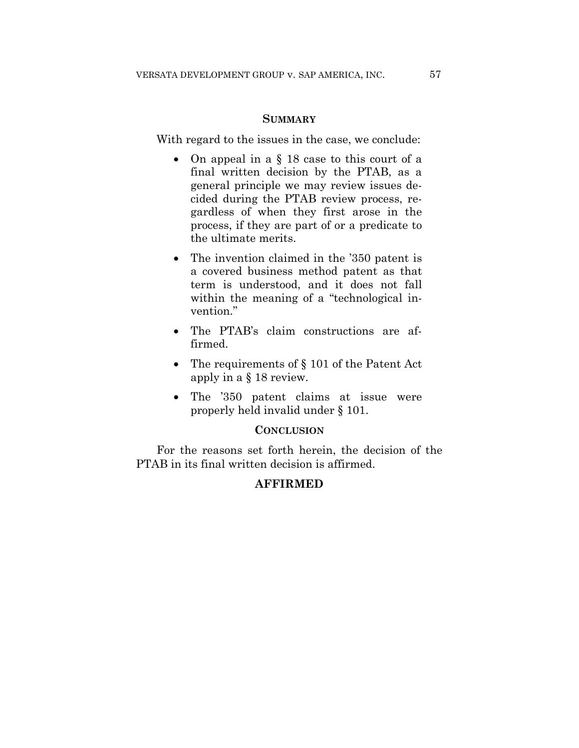#### **SUMMARY**

With regard to the issues in the case, we conclude:

- On appeal in a § 18 case to this court of a final written decision by the PTAB, as a general principle we may review issues decided during the PTAB review process, regardless of when they first arose in the process, if they are part of or a predicate to the ultimate merits.
- The invention claimed in the '350 patent is a covered business method patent as that term is understood, and it does not fall within the meaning of a "technological invention."
- The PTAB's claim constructions are affirmed.
- The requirements of § 101 of the Patent Act apply in a § 18 review.
- The '350 patent claims at issue were properly held invalid under § 101.

#### **CONCLUSION**

For the reasons set forth herein, the decision of the PTAB in its final written decision is affirmed.

## **AFFIRMED**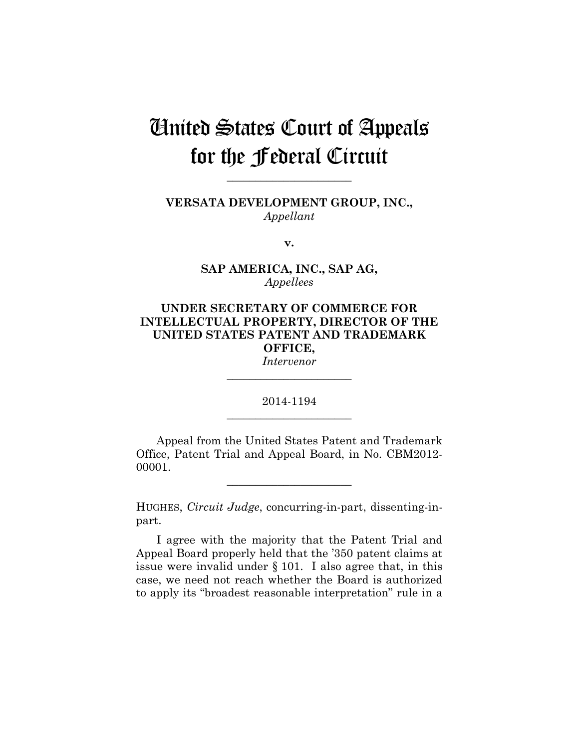## United States Court of Appeals for the Federal Circuit

**VERSATA DEVELOPMENT GROUP, INC.,** *Appellant*

**\_\_\_\_\_\_\_\_\_\_\_\_\_\_\_\_\_\_\_\_\_\_** 

**v.**

**SAP AMERICA, INC., SAP AG,** *Appellees*

## **UNDER SECRETARY OF COMMERCE FOR INTELLECTUAL PROPERTY, DIRECTOR OF THE UNITED STATES PATENT AND TRADEMARK OFFICE,**

*Intervenor* **\_\_\_\_\_\_\_\_\_\_\_\_\_\_\_\_\_\_\_\_\_\_** 

## 2014-1194 **\_\_\_\_\_\_\_\_\_\_\_\_\_\_\_\_\_\_\_\_\_\_**

Appeal from the United States Patent and Trademark Office, Patent Trial and Appeal Board, in No. CBM2012- 00001.

**\_\_\_\_\_\_\_\_\_\_\_\_\_\_\_\_\_\_\_\_\_\_** 

HUGHES, *Circuit Judge*, concurring-in-part, dissenting-inpart.

I agree with the majority that the Patent Trial and Appeal Board properly held that the '350 patent claims at issue were invalid under § 101. I also agree that, in this case, we need not reach whether the Board is authorized to apply its "broadest reasonable interpretation" rule in a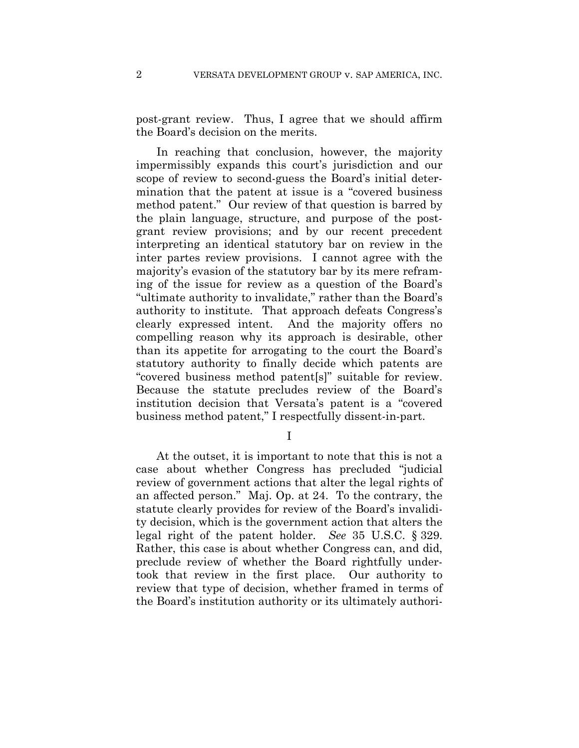post-grant review. Thus, I agree that we should affirm the Board's decision on the merits.

In reaching that conclusion, however, the majority impermissibly expands this court's jurisdiction and our scope of review to second-guess the Board's initial determination that the patent at issue is a "covered business method patent." Our review of that question is barred by the plain language, structure, and purpose of the postgrant review provisions; and by our recent precedent interpreting an identical statutory bar on review in the inter partes review provisions. I cannot agree with the majority's evasion of the statutory bar by its mere reframing of the issue for review as a question of the Board's "ultimate authority to invalidate," rather than the Board's authority to institute. That approach defeats Congress's clearly expressed intent. And the majority offers no compelling reason why its approach is desirable, other than its appetite for arrogating to the court the Board's statutory authority to finally decide which patents are "covered business method patent[s]" suitable for review. Because the statute precludes review of the Board's institution decision that Versata's patent is a "covered business method patent," I respectfully dissent-in-part.

I

At the outset, it is important to note that this is not a case about whether Congress has precluded "judicial review of government actions that alter the legal rights of an affected person." Maj. Op. at 24. To the contrary, the statute clearly provides for review of the Board's invalidity decision, which is the government action that alters the legal right of the patent holder. *See* 35 U.S.C. § 329. Rather, this case is about whether Congress can, and did, preclude review of whether the Board rightfully undertook that review in the first place. Our authority to review that type of decision, whether framed in terms of the Board's institution authority or its ultimately authori-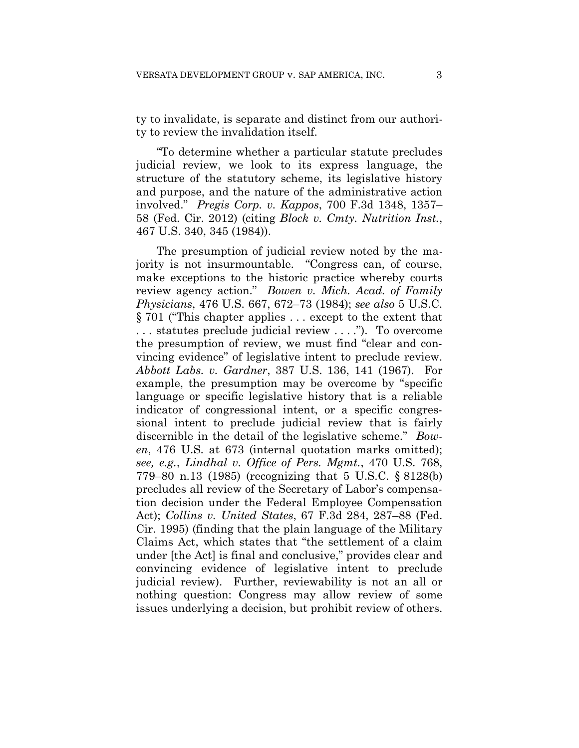ty to invalidate, is separate and distinct from our authority to review the invalidation itself.

"To determine whether a particular statute precludes judicial review, we look to its express language, the structure of the statutory scheme, its legislative history and purpose, and the nature of the administrative action involved." *Pregis Corp. v. Kappos*, 700 F.3d 1348, 1357– 58 (Fed. Cir. 2012) (citing *Block v. Cmty. Nutrition Inst.*, 467 U.S. 340, 345 (1984)).

The presumption of judicial review noted by the majority is not insurmountable. "Congress can, of course, make exceptions to the historic practice whereby courts review agency action." *Bowen v. Mich. Acad. of Family Physicians*, 476 U.S. 667, 672–73 (1984); *see also* 5 U.S.C. § 701 ("This chapter applies . . . except to the extent that . . . statutes preclude judicial review . . . ."). To overcome the presumption of review, we must find "clear and convincing evidence" of legislative intent to preclude review. *Abbott Labs. v. Gardner*, 387 U.S. 136, 141 (1967). For example, the presumption may be overcome by "specific language or specific legislative history that is a reliable indicator of congressional intent, or a specific congressional intent to preclude judicial review that is fairly discernible in the detail of the legislative scheme." *Bowen*, 476 U.S. at 673 (internal quotation marks omitted); *see, e.g.*, *Lindhal v. Office of Pers. Mgmt.*, 470 U.S. 768, 779–80 n.13 (1985) (recognizing that 5 U.S.C. § 8128(b) precludes all review of the Secretary of Labor's compensation decision under the Federal Employee Compensation Act); *Collins v. United States*, 67 F.3d 284, 287–88 (Fed. Cir. 1995) (finding that the plain language of the Military Claims Act, which states that "the settlement of a claim under [the Act] is final and conclusive," provides clear and convincing evidence of legislative intent to preclude judicial review). Further, reviewability is not an all or nothing question: Congress may allow review of some issues underlying a decision, but prohibit review of others.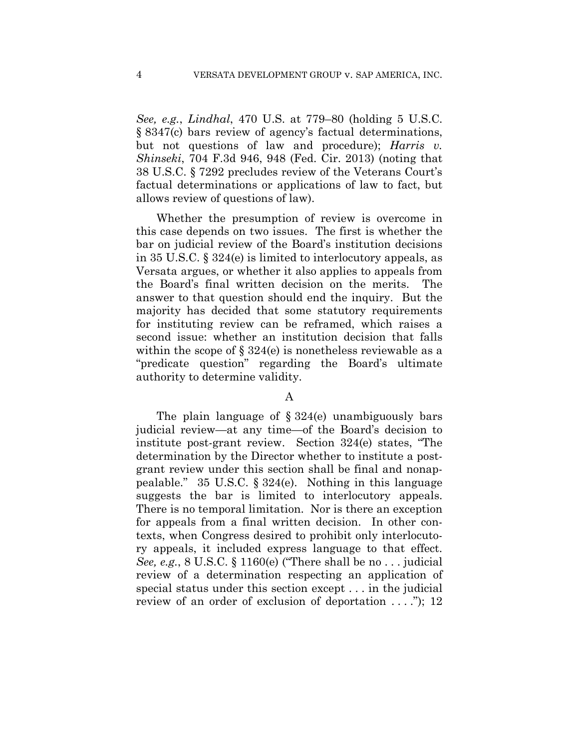*See, e.g.*, *Lindhal*, 470 U.S. at 779–80 (holding 5 U.S.C. § 8347(c) bars review of agency's factual determinations, but not questions of law and procedure); *Harris v. Shinseki*, 704 F.3d 946, 948 (Fed. Cir. 2013) (noting that 38 U.S.C. § 7292 precludes review of the Veterans Court's factual determinations or applications of law to fact, but allows review of questions of law).

Whether the presumption of review is overcome in this case depends on two issues. The first is whether the bar on judicial review of the Board's institution decisions in 35 U.S.C. § 324(e) is limited to interlocutory appeals, as Versata argues, or whether it also applies to appeals from the Board's final written decision on the merits. The answer to that question should end the inquiry. But the majority has decided that some statutory requirements for instituting review can be reframed, which raises a second issue: whether an institution decision that falls within the scope of § 324(e) is nonetheless reviewable as a "predicate question" regarding the Board's ultimate authority to determine validity.

#### A

The plain language of  $\S 324(e)$  unambiguously bars judicial review—at any time—of the Board's decision to institute post-grant review. Section 324(e) states, "The determination by the Director whether to institute a postgrant review under this section shall be final and nonappealable." 35 U.S.C. § 324(e). Nothing in this language suggests the bar is limited to interlocutory appeals. There is no temporal limitation. Nor is there an exception for appeals from a final written decision. In other contexts, when Congress desired to prohibit only interlocutory appeals, it included express language to that effect. *See, e.g.*, 8 U.S.C. § 1160(e) ("There shall be no . . . judicial review of a determination respecting an application of special status under this section except . . . in the judicial review of an order of exclusion of deportation  $\dots$  ."); 12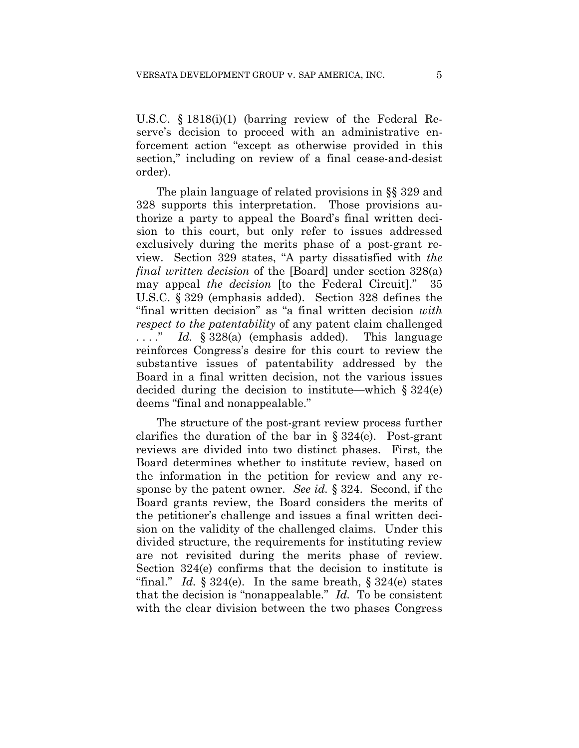U.S.C. § 1818(i)(1) (barring review of the Federal Reserve's decision to proceed with an administrative enforcement action "except as otherwise provided in this section," including on review of a final cease-and-desist order).

The plain language of related provisions in §§ 329 and 328 supports this interpretation. Those provisions authorize a party to appeal the Board's final written decision to this court, but only refer to issues addressed exclusively during the merits phase of a post-grant review. Section 329 states, "A party dissatisfied with *the final written decision* of the [Board] under section 328(a) may appeal *the decision* [to the Federal Circuit]." 35 U.S.C. § 329 (emphasis added). Section 328 defines the "final written decision" as "a final written decision *with respect to the patentability* of any patent claim challenged . . . ." *Id.* § 328(a) (emphasis added). This language reinforces Congress's desire for this court to review the substantive issues of patentability addressed by the Board in a final written decision, not the various issues decided during the decision to institute—which  $\S 324(e)$ deems "final and nonappealable."

The structure of the post-grant review process further clarifies the duration of the bar in § 324(e). Post-grant reviews are divided into two distinct phases. First, the Board determines whether to institute review, based on the information in the petition for review and any response by the patent owner. *See id.* § 324. Second, if the Board grants review, the Board considers the merits of the petitioner's challenge and issues a final written decision on the validity of the challenged claims. Under this divided structure, the requirements for instituting review are not revisited during the merits phase of review. Section 324(e) confirms that the decision to institute is "final." *Id.*  $\S 324(e)$ . In the same breath,  $\S 324(e)$  states that the decision is "nonappealable." *Id.* To be consistent with the clear division between the two phases Congress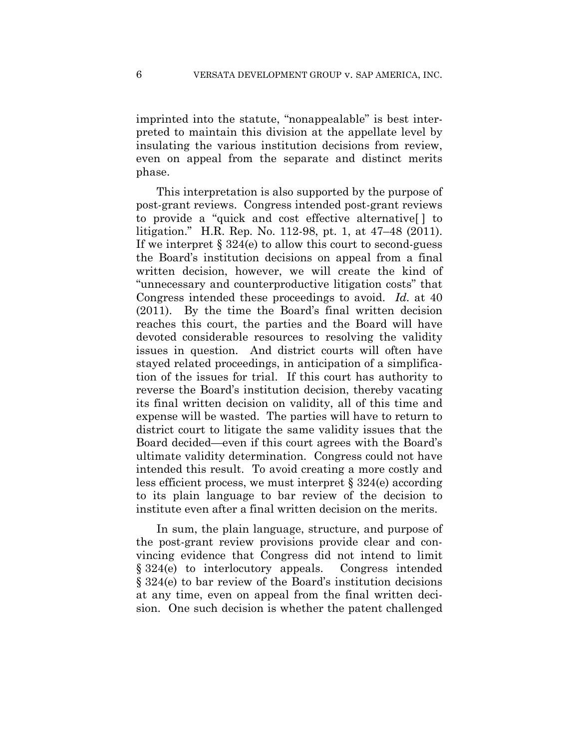imprinted into the statute, "nonappealable" is best interpreted to maintain this division at the appellate level by insulating the various institution decisions from review, even on appeal from the separate and distinct merits phase.

This interpretation is also supported by the purpose of post-grant reviews. Congress intended post-grant reviews to provide a "quick and cost effective alternative[ ] to litigation." H.R. Rep. No. 112-98, pt. 1, at 47–48 (2011). If we interpret  $\S 324(e)$  to allow this court to second-guess the Board's institution decisions on appeal from a final written decision, however, we will create the kind of "unnecessary and counterproductive litigation costs" that Congress intended these proceedings to avoid. *Id.* at 40 (2011). By the time the Board's final written decision reaches this court, the parties and the Board will have devoted considerable resources to resolving the validity issues in question. And district courts will often have stayed related proceedings, in anticipation of a simplification of the issues for trial. If this court has authority to reverse the Board's institution decision, thereby vacating its final written decision on validity, all of this time and expense will be wasted. The parties will have to return to district court to litigate the same validity issues that the Board decided—even if this court agrees with the Board's ultimate validity determination. Congress could not have intended this result. To avoid creating a more costly and less efficient process, we must interpret § 324(e) according to its plain language to bar review of the decision to institute even after a final written decision on the merits.

In sum, the plain language, structure, and purpose of the post-grant review provisions provide clear and convincing evidence that Congress did not intend to limit § 324(e) to interlocutory appeals. Congress intended § 324(e) to bar review of the Board's institution decisions at any time, even on appeal from the final written decision. One such decision is whether the patent challenged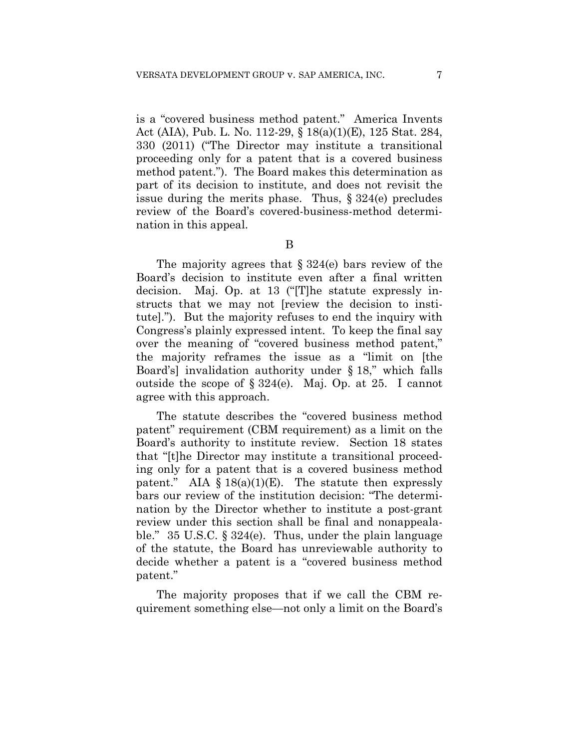is a "covered business method patent." America Invents Act (AIA), Pub. L. No. 112-29, § 18(a)(1)(E), 125 Stat. 284, 330 (2011) ("The Director may institute a transitional proceeding only for a patent that is a covered business method patent."). The Board makes this determination as part of its decision to institute, and does not revisit the issue during the merits phase. Thus, § 324(e) precludes review of the Board's covered-business-method determination in this appeal.

The majority agrees that  $\S 324(e)$  bars review of the Board's decision to institute even after a final written decision. Maj. Op. at 13 ("[T]he statute expressly instructs that we may not [review the decision to institute]."). But the majority refuses to end the inquiry with Congress's plainly expressed intent. To keep the final say over the meaning of "covered business method patent," the majority reframes the issue as a "limit on [the Board's] invalidation authority under § 18," which falls outside the scope of § 324(e). Maj. Op. at 25. I cannot agree with this approach.

The statute describes the "covered business method patent" requirement (CBM requirement) as a limit on the Board's authority to institute review. Section 18 states that "[t]he Director may institute a transitional proceeding only for a patent that is a covered business method patent." AIA  $\S 18(a)(1)(E)$ . The statute then expressly bars our review of the institution decision: "The determination by the Director whether to institute a post-grant review under this section shall be final and nonappealable." 35 U.S.C. § 324(e). Thus, under the plain language of the statute, the Board has unreviewable authority to decide whether a patent is a "covered business method patent."

The majority proposes that if we call the CBM requirement something else—not only a limit on the Board's

B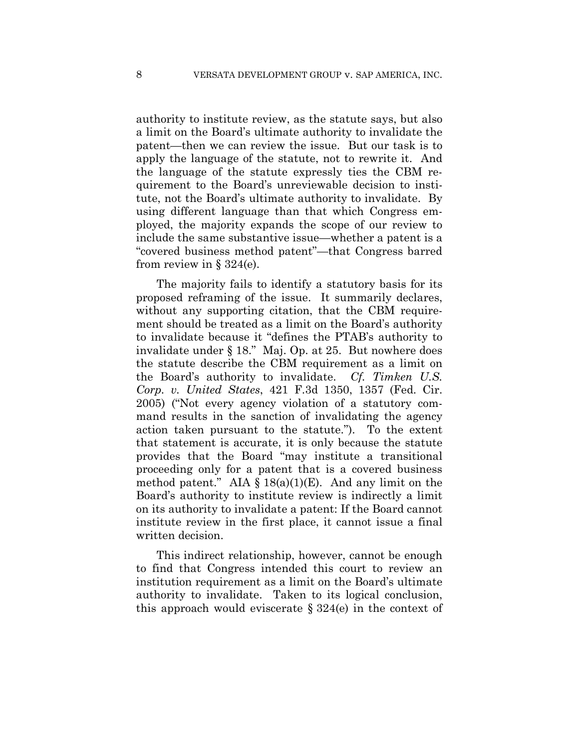authority to institute review, as the statute says, but also a limit on the Board's ultimate authority to invalidate the patent—then we can review the issue. But our task is to apply the language of the statute, not to rewrite it. And the language of the statute expressly ties the CBM requirement to the Board's unreviewable decision to institute, not the Board's ultimate authority to invalidate. By using different language than that which Congress employed, the majority expands the scope of our review to include the same substantive issue—whether a patent is a "covered business method patent"—that Congress barred from review in  $\S 324(e)$ .

The majority fails to identify a statutory basis for its proposed reframing of the issue. It summarily declares, without any supporting citation, that the CBM requirement should be treated as a limit on the Board's authority to invalidate because it "defines the PTAB's authority to invalidate under § 18." Maj. Op. at 25. But nowhere does the statute describe the CBM requirement as a limit on the Board's authority to invalidate. *Cf. Timken U.S. Corp. v. United States*, 421 F.3d 1350, 1357 (Fed. Cir. 2005) ("Not every agency violation of a statutory command results in the sanction of invalidating the agency action taken pursuant to the statute."). To the extent that statement is accurate, it is only because the statute provides that the Board "may institute a transitional proceeding only for a patent that is a covered business method patent." AIA  $\S$  18(a)(1)(E). And any limit on the Board's authority to institute review is indirectly a limit on its authority to invalidate a patent: If the Board cannot institute review in the first place, it cannot issue a final written decision.

This indirect relationship, however, cannot be enough to find that Congress intended this court to review an institution requirement as a limit on the Board's ultimate authority to invalidate. Taken to its logical conclusion, this approach would eviscerate  $\S 324(e)$  in the context of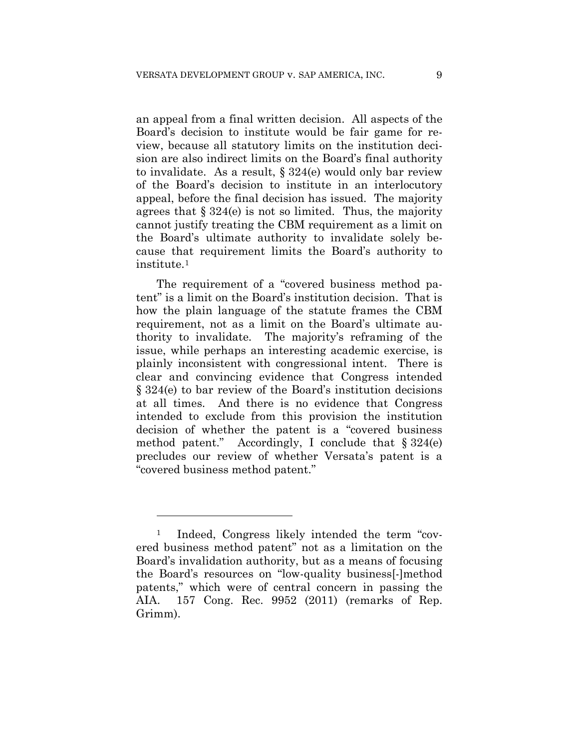an appeal from a final written decision. All aspects of the Board's decision to institute would be fair game for review, because all statutory limits on the institution decision are also indirect limits on the Board's final authority to invalidate. As a result, § 324(e) would only bar review of the Board's decision to institute in an interlocutory appeal, before the final decision has issued. The majority agrees that  $\S 324(e)$  is not so limited. Thus, the majority cannot justify treating the CBM requirement as a limit on the Board's ultimate authority to invalidate solely because that requirement limits the Board's authority to institute.1

The requirement of a "covered business method patent" is a limit on the Board's institution decision. That is how the plain language of the statute frames the CBM requirement, not as a limit on the Board's ultimate authority to invalidate. The majority's reframing of the issue, while perhaps an interesting academic exercise, is plainly inconsistent with congressional intent. There is clear and convincing evidence that Congress intended § 324(e) to bar review of the Board's institution decisions at all times. And there is no evidence that Congress intended to exclude from this provision the institution decision of whether the patent is a "covered business method patent." Accordingly, I conclude that  $\S 324(e)$ precludes our review of whether Versata's patent is a "covered business method patent."

<u>.</u>

<sup>1</sup> Indeed, Congress likely intended the term "covered business method patent" not as a limitation on the Board's invalidation authority, but as a means of focusing the Board's resources on "low-quality business[-]method patents," which were of central concern in passing the AIA. 157 Cong. Rec. 9952 (2011) (remarks of Rep. Grimm).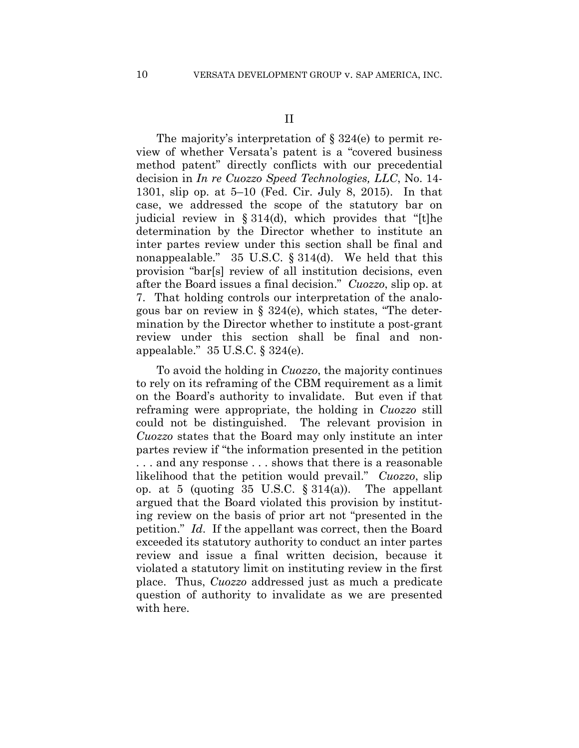The majority's interpretation of § 324(e) to permit review of whether Versata's patent is a "covered business method patent" directly conflicts with our precedential decision in *In re Cuozzo Speed Technologies, LLC*, No. 14- 1301, slip op. at 5–10 (Fed. Cir. July 8, 2015). In that case, we addressed the scope of the statutory bar on judicial review in § 314(d), which provides that "[t]he determination by the Director whether to institute an inter partes review under this section shall be final and nonappealable." 35 U.S.C. § 314(d). We held that this provision "bar[s] review of all institution decisions, even after the Board issues a final decision." *Cuozzo*, slip op. at 7. That holding controls our interpretation of the analogous bar on review in  $\S$  324(e), which states, "The determination by the Director whether to institute a post-grant review under this section shall be final and nonappealable." 35 U.S.C. § 324(e).

To avoid the holding in *Cuozzo*, the majority continues to rely on its reframing of the CBM requirement as a limit on the Board's authority to invalidate. But even if that reframing were appropriate, the holding in *Cuozzo* still could not be distinguished. The relevant provision in *Cuozzo* states that the Board may only institute an inter partes review if "the information presented in the petition . . . and any response . . . shows that there is a reasonable likelihood that the petition would prevail." *Cuozzo*, slip op. at 5 (quoting 35 U.S.C.  $\S 314(a)$ ). The appellant argued that the Board violated this provision by instituting review on the basis of prior art not "presented in the petition." *Id*. If the appellant was correct, then the Board exceeded its statutory authority to conduct an inter partes review and issue a final written decision, because it violated a statutory limit on instituting review in the first place. Thus, *Cuozzo* addressed just as much a predicate question of authority to invalidate as we are presented with here.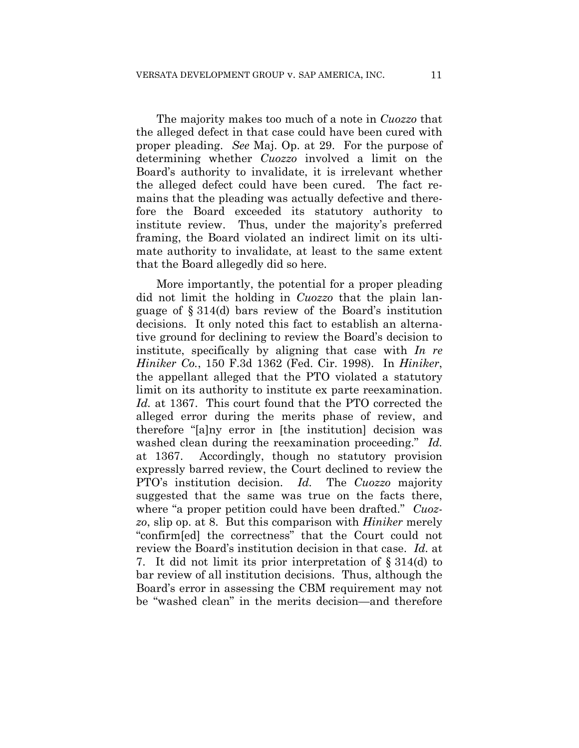The majority makes too much of a note in *Cuozzo* that the alleged defect in that case could have been cured with proper pleading. *See* Maj. Op. at 29. For the purpose of determining whether *Cuozzo* involved a limit on the Board's authority to invalidate, it is irrelevant whether the alleged defect could have been cured. The fact remains that the pleading was actually defective and therefore the Board exceeded its statutory authority to institute review. Thus, under the majority's preferred framing, the Board violated an indirect limit on its ultimate authority to invalidate, at least to the same extent that the Board allegedly did so here.

More importantly, the potential for a proper pleading did not limit the holding in *Cuozzo* that the plain language of § 314(d) bars review of the Board's institution decisions. It only noted this fact to establish an alternative ground for declining to review the Board's decision to institute, specifically by aligning that case with *In re Hiniker Co.*, 150 F.3d 1362 (Fed. Cir. 1998). In *Hiniker*, the appellant alleged that the PTO violated a statutory limit on its authority to institute ex parte reexamination. *Id.* at 1367. This court found that the PTO corrected the alleged error during the merits phase of review, and therefore "[a]ny error in [the institution] decision was washed clean during the reexamination proceeding." *Id.* at 1367. Accordingly, though no statutory provision expressly barred review, the Court declined to review the PTO's institution decision. *Id.* The *Cuozzo* majority suggested that the same was true on the facts there, where "a proper petition could have been drafted." *Cuozzo*, slip op. at 8. But this comparison with *Hiniker* merely "confirm[ed] the correctness" that the Court could not review the Board's institution decision in that case. *Id.* at 7. It did not limit its prior interpretation of § 314(d) to bar review of all institution decisions. Thus, although the Board's error in assessing the CBM requirement may not be "washed clean" in the merits decision—and therefore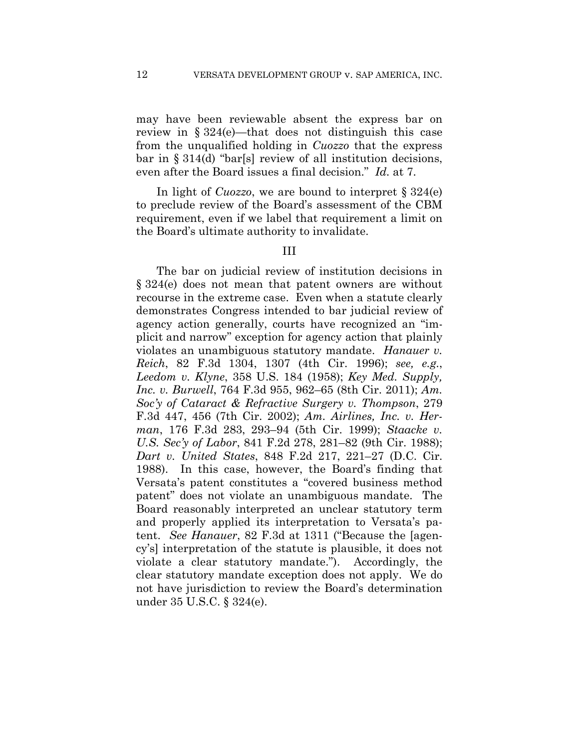may have been reviewable absent the express bar on review in § 324(e)—that does not distinguish this case from the unqualified holding in *Cuozzo* that the express bar in § 314(d) "bar[s] review of all institution decisions, even after the Board issues a final decision." *Id.* at 7.

In light of *Cuozzo*, we are bound to interpret § 324(e) to preclude review of the Board's assessment of the CBM requirement, even if we label that requirement a limit on the Board's ultimate authority to invalidate.

#### III

The bar on judicial review of institution decisions in § 324(e) does not mean that patent owners are without recourse in the extreme case. Even when a statute clearly demonstrates Congress intended to bar judicial review of agency action generally, courts have recognized an "implicit and narrow" exception for agency action that plainly violates an unambiguous statutory mandate. *Hanauer v. Reich*, 82 F.3d 1304, 1307 (4th Cir. 1996); *see, e.g.*, *Leedom v. Klyne*, 358 U.S. 184 (1958); *Key Med. Supply, Inc. v. Burwell*, 764 F.3d 955, 962–65 (8th Cir. 2011); *Am. Soc'y of Cataract & Refractive Surgery v. Thompson*, 279 F.3d 447, 456 (7th Cir. 2002); *Am. Airlines, Inc. v. Herman*, 176 F.3d 283, 293–94 (5th Cir. 1999); *Staacke v. U.S. Sec'y of Labor*, 841 F.2d 278, 281–82 (9th Cir. 1988); *Dart v. United States*, 848 F.2d 217, 221–27 (D.C. Cir. 1988). In this case, however, the Board's finding that Versata's patent constitutes a "covered business method patent" does not violate an unambiguous mandate. The Board reasonably interpreted an unclear statutory term and properly applied its interpretation to Versata's patent. *See Hanauer*, 82 F.3d at 1311 ("Because the [agency's] interpretation of the statute is plausible, it does not violate a clear statutory mandate."). Accordingly, the clear statutory mandate exception does not apply. We do not have jurisdiction to review the Board's determination under 35 U.S.C. § 324(e).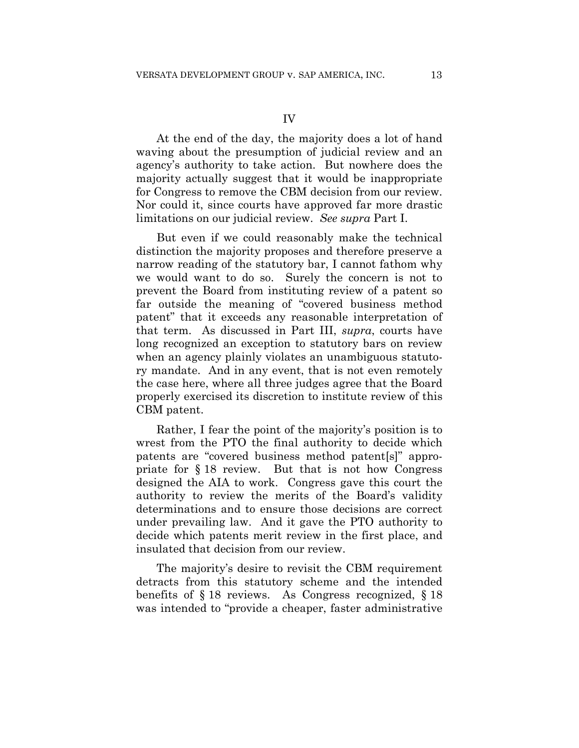At the end of the day, the majority does a lot of hand waving about the presumption of judicial review and an agency's authority to take action. But nowhere does the majority actually suggest that it would be inappropriate for Congress to remove the CBM decision from our review. Nor could it, since courts have approved far more drastic limitations on our judicial review. *See supra* Part I.

But even if we could reasonably make the technical distinction the majority proposes and therefore preserve a narrow reading of the statutory bar, I cannot fathom why we would want to do so. Surely the concern is not to prevent the Board from instituting review of a patent so far outside the meaning of "covered business method patent" that it exceeds any reasonable interpretation of that term. As discussed in Part III, *supra*, courts have long recognized an exception to statutory bars on review when an agency plainly violates an unambiguous statutory mandate. And in any event, that is not even remotely the case here, where all three judges agree that the Board properly exercised its discretion to institute review of this CBM patent.

Rather, I fear the point of the majority's position is to wrest from the PTO the final authority to decide which patents are "covered business method patent[s]" appropriate for § 18 review. But that is not how Congress designed the AIA to work. Congress gave this court the authority to review the merits of the Board's validity determinations and to ensure those decisions are correct under prevailing law. And it gave the PTO authority to decide which patents merit review in the first place, and insulated that decision from our review.

The majority's desire to revisit the CBM requirement detracts from this statutory scheme and the intended benefits of § 18 reviews. As Congress recognized, § 18 was intended to "provide a cheaper, faster administrative